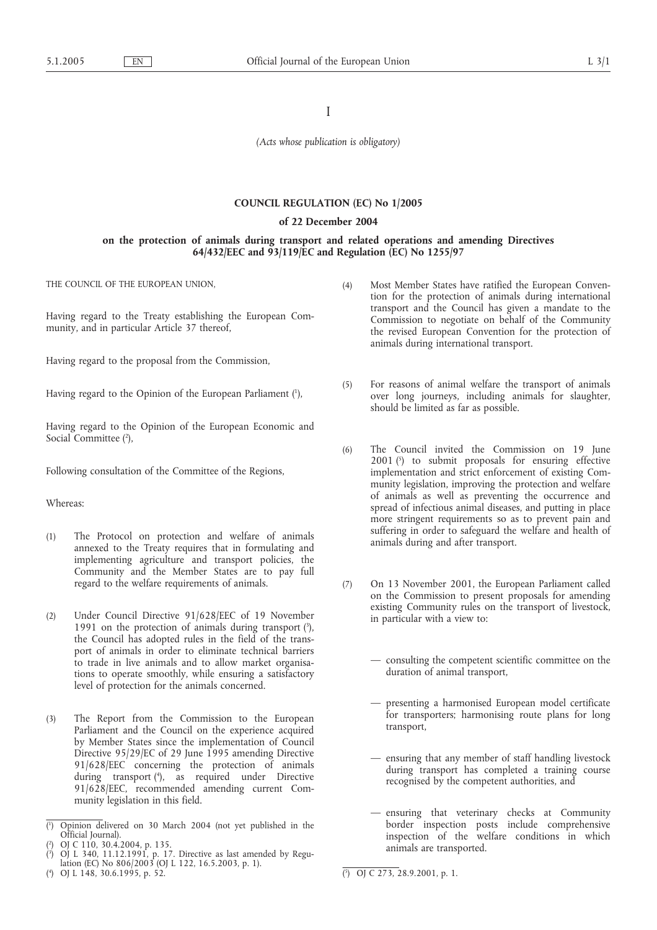I

*(Acts whose publication is obligatory)*

# **COUNCIL REGULATION (EC) No 1/2005**

## **of 22 December 2004**

# **on the protection of animals during transport and related operations and amending Directives 64/432/EEC and 93/119/EC and Regulation (EC) No 1255/97**

THE COUNCIL OF THE EUROPEAN UNION,

Having regard to the Treaty establishing the European Community, and in particular Article 37 thereof,

Having regard to the proposal from the Commission,

Having regard to the Opinion of the European Parliament (1 ),

Having regard to the Opinion of the European Economic and Social Committee (2 ),

Following consultation of the Committee of the Regions,

# Whereas:

- (1) The Protocol on protection and welfare of animals annexed to the Treaty requires that in formulating and implementing agriculture and transport policies, the Community and the Member States are to pay full regard to the welfare requirements of animals.
- (2) Under Council Directive 91/628/EEC of 19 November 1991 on the protection of animals during transport  $(3)$ , the Council has adopted rules in the field of the transport of animals in order to eliminate technical barriers to trade in live animals and to allow market organisations to operate smoothly, while ensuring a satisfactory level of protection for the animals concerned.
- (3) The Report from the Commission to the European Parliament and the Council on the experience acquired by Member States since the implementation of Council Directive 95/29/EC of 29 June 1995 amending Directive 91/628/EEC concerning the protection of animals during transport (4 ), as required under Directive 91/628/EEC, recommended amending current Community legislation in this field.

( 4 ) OJ L 148, 30.6.1995, p. 52. (

- (4) Most Member States have ratified the European Convention for the protection of animals during international transport and the Council has given a mandate to the Commission to negotiate on behalf of the Community the revised European Convention for the protection of animals during international transport.
- (5) For reasons of animal welfare the transport of animals over long journeys, including animals for slaughter, should be limited as far as possible.
- (6) The Council invited the Commission on 19 June 2001 (5) to submit proposals for ensuring effective implementation and strict enforcement of existing Community legislation, improving the protection and welfare of animals as well as preventing the occurrence and spread of infectious animal diseases, and putting in place more stringent requirements so as to prevent pain and suffering in order to safeguard the welfare and health of animals during and after transport.
- (7) On 13 November 2001, the European Parliament called on the Commission to present proposals for amending existing Community rules on the transport of livestock, in particular with a view to:
	- consulting the competent scientific committee on the duration of animal transport,
	- presenting a harmonised European model certificate for transporters; harmonising route plans for long transport,
	- ensuring that any member of staff handling livestock during transport has completed a training course recognised by the competent authorities, and
	- ensuring that veterinary checks at Community border inspection posts include comprehensive inspection of the welfare conditions in which animals are transported.

<sup>(</sup> 1 ) Opinion delivered on 30 March 2004 (not yet published in the Official Journal).

<sup>(</sup> 2 ) OJ C 110, 30.4.2004, p. 135.

<sup>(</sup> 3 ) OJ L 340, 11.12.1991, p. 17. Directive as last amended by Regulation (EC) No 806/2003 (OJ L 122, 16.5.2003, p. 1).

<sup>5</sup> ) OJ C 273, 28.9.2001, p. 1.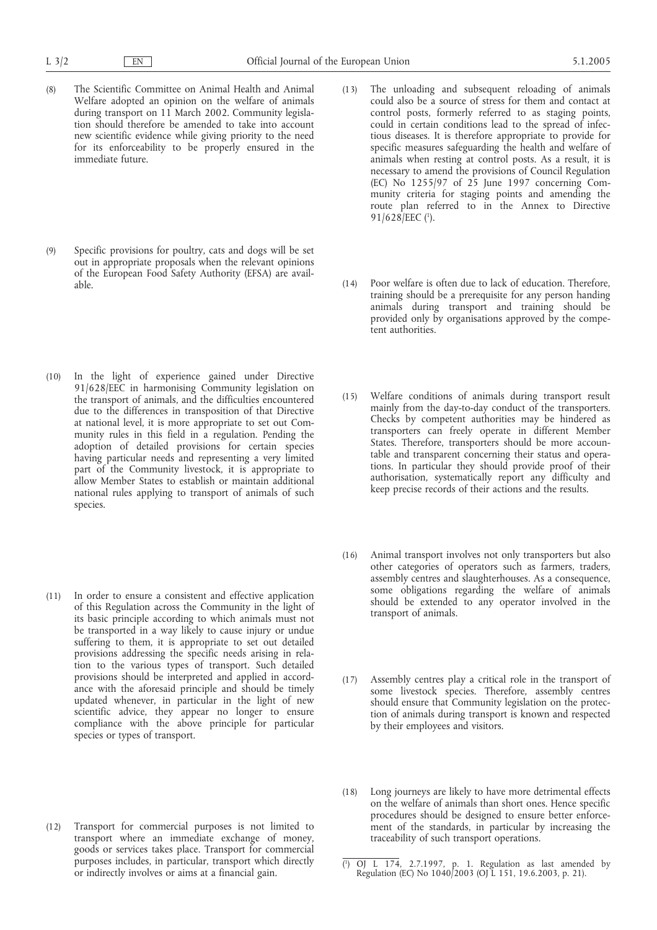- (8) The Scientific Committee on Animal Health and Animal Welfare adopted an opinion on the welfare of animals during transport on 11 March 2002. Community legislation should therefore be amended to take into account new scientific evidence while giving priority to the need for its enforceability to be properly ensured in the immediate future.
- (9) Specific provisions for poultry, cats and dogs will be set out in appropriate proposals when the relevant opinions of the European Food Safety Authority (EFSA) are available.
- (10) In the light of experience gained under Directive 91/628/EEC in harmonising Community legislation on the transport of animals, and the difficulties encountered due to the differences in transposition of that Directive at national level, it is more appropriate to set out Community rules in this field in a regulation. Pending the adoption of detailed provisions for certain species having particular needs and representing a very limited part of the Community livestock, it is appropriate to allow Member States to establish or maintain additional national rules applying to transport of animals of such species.
- (11) In order to ensure a consistent and effective application of this Regulation across the Community in the light of its basic principle according to which animals must not be transported in a way likely to cause injury or undue suffering to them, it is appropriate to set out detailed provisions addressing the specific needs arising in relation to the various types of transport. Such detailed provisions should be interpreted and applied in accordance with the aforesaid principle and should be timely updated whenever, in particular in the light of new scientific advice, they appear no longer to ensure compliance with the above principle for particular species or types of transport.
- (12) Transport for commercial purposes is not limited to transport where an immediate exchange of money, goods or services takes place. Transport for commercial purposes includes, in particular, transport which directly or indirectly involves or aims at a financial gain.
- (13) The unloading and subsequent reloading of animals could also be a source of stress for them and contact at control posts, formerly referred to as staging points, could in certain conditions lead to the spread of infectious diseases. It is therefore appropriate to provide for specific measures safeguarding the health and welfare of animals when resting at control posts. As a result, it is necessary to amend the provisions of Council Regulation (EC) No 1255/97 of 25 June 1997 concerning Community criteria for staging points and amending the route plan referred to in the Annex to Directive 91/628/EEC (1).
- (14) Poor welfare is often due to lack of education. Therefore, training should be a prerequisite for any person handing animals during transport and training should be provided only by organisations approved by the competent authorities.
- (15) Welfare conditions of animals during transport result mainly from the day-to-day conduct of the transporters. Checks by competent authorities may be hindered as transporters can freely operate in different Member States. Therefore, transporters should be more accountable and transparent concerning their status and operations. In particular they should provide proof of their authorisation, systematically report any difficulty and keep precise records of their actions and the results.
- (16) Animal transport involves not only transporters but also other categories of operators such as farmers, traders, assembly centres and slaughterhouses. As a consequence, some obligations regarding the welfare of animals should be extended to any operator involved in the transport of animals.
- (17) Assembly centres play a critical role in the transport of some livestock species. Therefore, assembly centres should ensure that Community legislation on the protection of animals during transport is known and respected by their employees and visitors.
- (18) Long journeys are likely to have more detrimental effects on the welfare of animals than short ones. Hence specific procedures should be designed to ensure better enforcement of the standards, in particular by increasing the traceability of such transport operations.

<sup>(</sup> 1 ) OJ L 174, 2.7.1997, p. 1. Regulation as last amended by Regulation (EC) No 1040/2003 (OJ L 151, 19.6.2003, p. 21).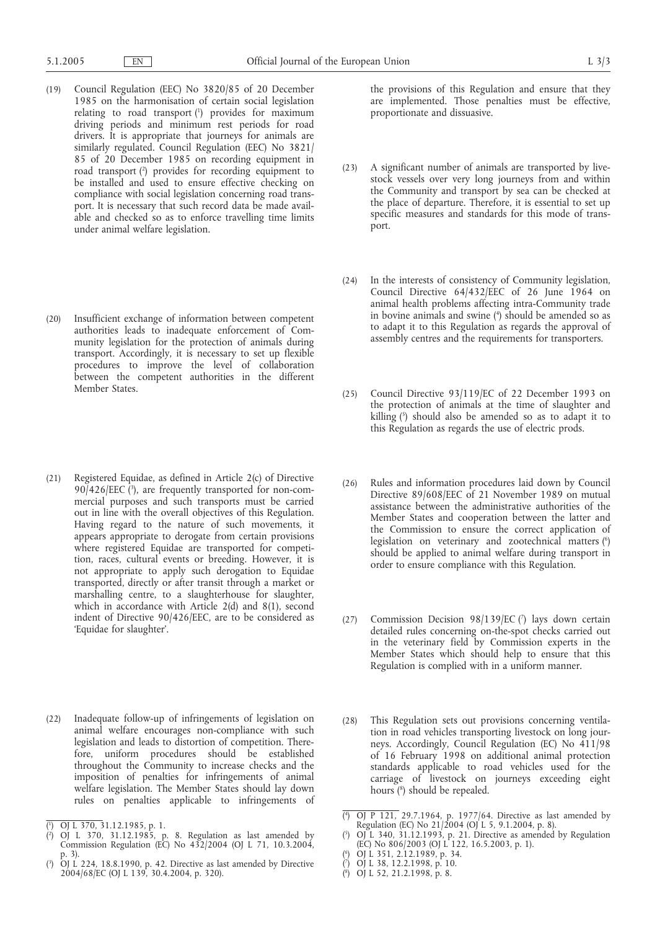- (19) Council Regulation (EEC) No 3820/85 of 20 December 1985 on the harmonisation of certain social legislation relating to road transport (1 ) provides for maximum driving periods and minimum rest periods for road drivers. It is appropriate that journeys for animals are similarly regulated. Council Regulation (EEC) No 3821/ 85 of 20 December 1985 on recording equipment in road transport (2 ) provides for recording equipment to be installed and used to ensure effective checking on compliance with social legislation concerning road transport. It is necessary that such record data be made available and checked so as to enforce travelling time limits under animal welfare legislation.
- (20) Insufficient exchange of information between competent authorities leads to inadequate enforcement of Community legislation for the protection of animals during transport. Accordingly, it is necessary to set up flexible procedures to improve the level of collaboration between the competent authorities in the different Member States.
- (21) Registered Equidae, as defined in Article 2(c) of Directive 90/426/EEC (3), are frequently transported for non-commercial purposes and such transports must be carried out in line with the overall objectives of this Regulation. Having regard to the nature of such movements, it appears appropriate to derogate from certain provisions where registered Equidae are transported for competition, races, cultural events or breeding. However, it is not appropriate to apply such derogation to Equidae transported, directly or after transit through a market or marshalling centre, to a slaughterhouse for slaughter, which in accordance with Article 2(d) and 8(1), second indent of Directive 90/426/EEC, are to be considered as 'Equidae for slaughter'.
- (22) Inadequate follow-up of infringements of legislation on animal welfare encourages non-compliance with such legislation and leads to distortion of competition. Therefore, uniform procedures should be established throughout the Community to increase checks and the imposition of penalties for infringements of animal welfare legislation. The Member States should lay down rules on penalties applicable to infringements of

the provisions of this Regulation and ensure that they are implemented. Those penalties must be effective, proportionate and dissuasive.

- (23) A significant number of animals are transported by livestock vessels over very long journeys from and within the Community and transport by sea can be checked at the place of departure. Therefore, it is essential to set up specific measures and standards for this mode of transport.
- (24) In the interests of consistency of Community legislation, Council Directive 64/432/EEC of 26 June 1964 on animal health problems affecting intra-Community trade in bovine animals and swine (4 ) should be amended so as to adapt it to this Regulation as regards the approval of assembly centres and the requirements for transporters.
- (25) Council Directive 93/119/EC of 22 December 1993 on the protection of animals at the time of slaughter and killing (5 ) should also be amended so as to adapt it to this Regulation as regards the use of electric prods.
- (26) Rules and information procedures laid down by Council Directive 89/608/EEC of 21 November 1989 on mutual assistance between the administrative authorities of the Member States and cooperation between the latter and the Commission to ensure the correct application of legislation on veterinary and zootechnical matters (6 ) should be applied to animal welfare during transport in order to ensure compliance with this Regulation.
- (27) Commission Decision 98/139/EC  $(7)$  lays down certain detailed rules concerning on-the-spot checks carried out in the veterinary field by Commission experts in the Member States which should help to ensure that this Regulation is complied with in a uniform manner.
- (28) This Regulation sets out provisions concerning ventilation in road vehicles transporting livestock on long journeys. Accordingly, Council Regulation (EC) No 411/98 of 16 February 1998 on additional animal protection standards applicable to road vehicles used for the carriage of livestock on journeys exceeding eight hours (8 ) should be repealed.

( 8 ) OJ L 52, 21.2.1998, p. 8.

<sup>(</sup> 1 ) OJ L 370, 31.12.1985, p. 1.

 $(^2$ ) OJ L 370, 31.12.1985, p. 8. Regulation as last amended by Commission Regulation (EC) No 432/2004 (OJ L 71, 10.3.2004, p. 3).

<sup>(</sup> 3 ) OJ L 224, 18.8.1990, p. 42. Directive as last amended by Directive 2004/68/EC (OJ L 139, 30.4.2004, p. 320).

<sup>(</sup> 4 ) OJ P 121, 29.7.1964, p. 1977/64. Directive as last amended by Regulation (EC) No 21/2004 (OJ L 5, 9.1.2004, p. 8).

<sup>(</sup> 5 ) OJ L 340, 31.12.1993, p. 21. Directive as amended by Regulation (EC) No 806/2003 (OJ L 122, 16.5.2003, p. 1).

<sup>(</sup> 6  $OJ$  L 351, 2.12.1989, p. 34. 7

<sup>(</sup> ) OJ L 38, 12.2.1998, p. 10.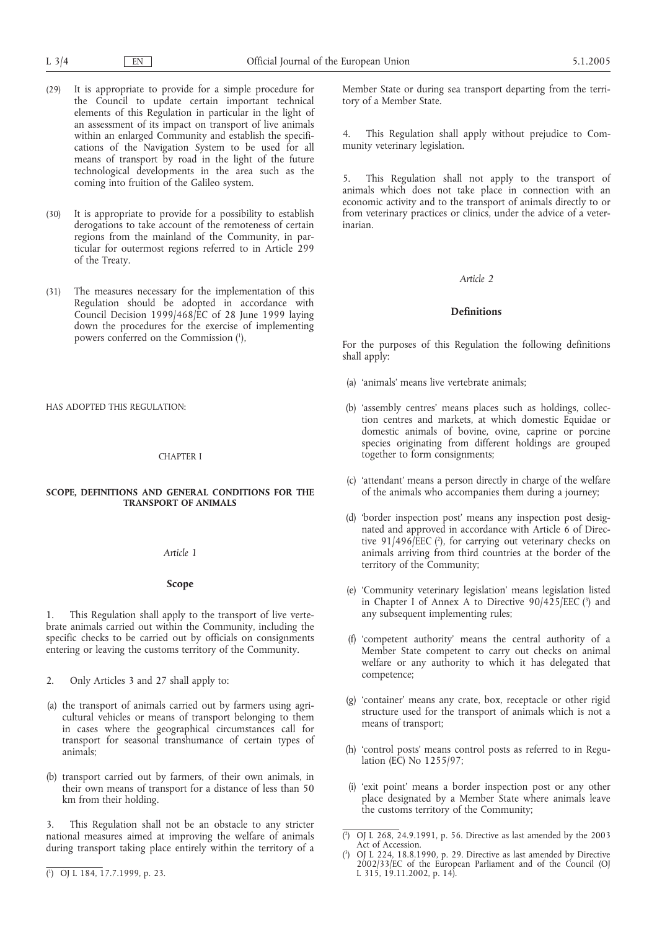- (29) It is appropriate to provide for a simple procedure for the Council to update certain important technical elements of this Regulation in particular in the light of an assessment of its impact on transport of live animals within an enlarged Community and establish the specifications of the Navigation System to be used for all means of transport by road in the light of the future technological developments in the area such as the coming into fruition of the Galileo system.
- (30) It is appropriate to provide for a possibility to establish derogations to take account of the remoteness of certain regions from the mainland of the Community, in particular for outermost regions referred to in Article 299 of the Treaty.
- (31) The measures necessary for the implementation of this Regulation should be adopted in accordance with Council Decision 1999/468/EC of 28 June 1999 laying down the procedures for the exercise of implementing powers conferred on the Commission (1 ),

HAS ADOPTED THIS REGULATION:

# CHAPTER I

### **SCOPE, DEFINITIONS AND GENERAL CONDITIONS FOR THE TRANSPORT OF ANIMALS**

#### *Article 1*

### **Scope**

1. This Regulation shall apply to the transport of live vertebrate animals carried out within the Community, including the specific checks to be carried out by officials on consignments entering or leaving the customs territory of the Community.

- 2. Only Articles 3 and 27 shall apply to:
- (a) the transport of animals carried out by farmers using agricultural vehicles or means of transport belonging to them in cases where the geographical circumstances call for transport for seasonal transhumance of certain types of animals;
- (b) transport carried out by farmers, of their own animals, in their own means of transport for a distance of less than 50 km from their holding.

3. This Regulation shall not be an obstacle to any stricter national measures aimed at improving the welfare of animals during transport taking place entirely within the territory of a

Member State or during sea transport departing from the territory of a Member State.

4. This Regulation shall apply without prejudice to Community veterinary legislation.

5. This Regulation shall not apply to the transport of animals which does not take place in connection with an economic activity and to the transport of animals directly to or from veterinary practices or clinics, under the advice of a veterinarian.

#### *Article 2*

#### **Definitions**

For the purposes of this Regulation the following definitions shall apply:

- (a) 'animals' means live vertebrate animals;
- (b) 'assembly centres' means places such as holdings, collection centres and markets, at which domestic Equidae or domestic animals of bovine, ovine, caprine or porcine species originating from different holdings are grouped together to form consignments;
- (c) 'attendant' means a person directly in charge of the welfare of the animals who accompanies them during a journey;
- (d) 'border inspection post' means any inspection post designated and approved in accordance with Article 6 of Directive 91/496/EEC (2 ), for carrying out veterinary checks on animals arriving from third countries at the border of the territory of the Community;
- (e) 'Community veterinary legislation' means legislation listed in Chapter I of Annex A to Directive 90/425/EEC (3) and any subsequent implementing rules;
- (f) 'competent authority' means the central authority of a Member State competent to carry out checks on animal welfare or any authority to which it has delegated that competence;
- (g) 'container' means any crate, box, receptacle or other rigid structure used for the transport of animals which is not a means of transport;
- (h) 'control posts' means control posts as referred to in Regulation (EC) No 1255/97;
- (i) 'exit point' means a border inspection post or any other place designated by a Member State where animals leave the customs territory of the Community;
- ( 2 ) OJ L 268, 24.9.1991, p. 56. Directive as last amended by the 2003 Act of Accession.

<sup>(</sup> 3 ) OJ L 224, 18.8.1990, p. 29. Directive as last amended by Directive 2002/33/EC of the European Parliament and of the Council (OJ L 315, 19.11.2002, p. 14).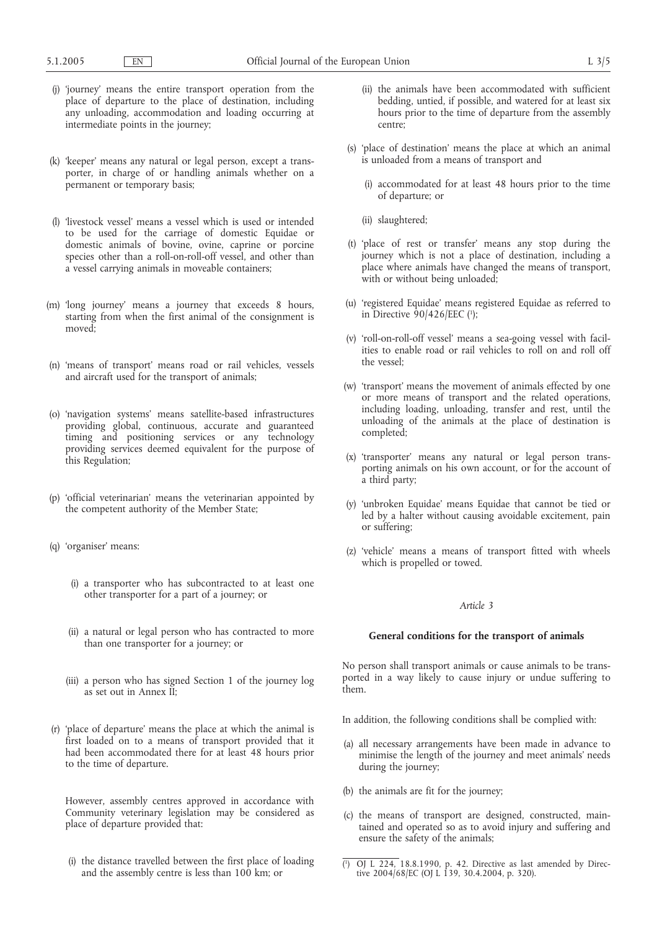- (j) 'journey' means the entire transport operation from the place of departure to the place of destination, including any unloading, accommodation and loading occurring at intermediate points in the journey;
- (k) 'keeper' means any natural or legal person, except a transporter, in charge of or handling animals whether on a permanent or temporary basis;
- (l) 'livestock vessel' means a vessel which is used or intended to be used for the carriage of domestic Equidae or domestic animals of bovine, ovine, caprine or porcine species other than a roll-on-roll-off vessel, and other than a vessel carrying animals in moveable containers;
- (m) 'long journey' means a journey that exceeds 8 hours, starting from when the first animal of the consignment is moved;
- (n) 'means of transport' means road or rail vehicles, vessels and aircraft used for the transport of animals;
- (o) 'navigation systems' means satellite-based infrastructures providing global, continuous, accurate and guaranteed timing and positioning services or any technology providing services deemed equivalent for the purpose of this Regulation;
- (p) 'official veterinarian' means the veterinarian appointed by the competent authority of the Member State;
- (q) 'organiser' means:
	- (i) a transporter who has subcontracted to at least one other transporter for a part of a journey; or
	- (ii) a natural or legal person who has contracted to more than one transporter for a journey; or
	- (iii) a person who has signed Section 1 of the journey log as set out in Annex II;
- (r) 'place of departure' means the place at which the animal is first loaded on to a means of transport provided that it had been accommodated there for at least 48 hours prior to the time of departure.

However, assembly centres approved in accordance with Community veterinary legislation may be considered as place of departure provided that:

(i) the distance travelled between the first place of loading and the assembly centre is less than 100 km; or

- (ii) the animals have been accommodated with sufficient bedding, untied, if possible, and watered for at least six hours prior to the time of departure from the assembly centre;
- (s) 'place of destination' means the place at which an animal is unloaded from a means of transport and
	- (i) accommodated for at least 48 hours prior to the time of departure; or
	- (ii) slaughtered;
- (t) 'place of rest or transfer' means any stop during the journey which is not a place of destination, including a place where animals have changed the means of transport, with or without being unloaded;
- (u) 'registered Equidae' means registered Equidae as referred to in Directive 90/426/EEC (1);
- (v) 'roll-on-roll-off vessel' means a sea-going vessel with facilities to enable road or rail vehicles to roll on and roll off the vessel;
- (w) 'transport' means the movement of animals effected by one or more means of transport and the related operations, including loading, unloading, transfer and rest, until the unloading of the animals at the place of destination is completed;
- (x) 'transporter' means any natural or legal person transporting animals on his own account, or for the account of a third party;
- (y) 'unbroken Equidae' means Equidae that cannot be tied or led by a halter without causing avoidable excitement, pain or suffering;
- (z) 'vehicle' means a means of transport fitted with wheels which is propelled or towed.

## *Article 3*

### **General conditions for the transport of animals**

No person shall transport animals or cause animals to be transported in a way likely to cause injury or undue suffering to them.

In addition, the following conditions shall be complied with:

- (a) all necessary arrangements have been made in advance to minimise the length of the journey and meet animals' needs during the journey;
- (b) the animals are fit for the journey;
- (c) the means of transport are designed, constructed, maintained and operated so as to avoid injury and suffering and ensure the safety of the animals;

<sup>(</sup> 1 ) OJ L 224, 18.8.1990, p. 42. Directive as last amended by Directive 2004/68/EC (OJ L 139, 30.4.2004, p. 320).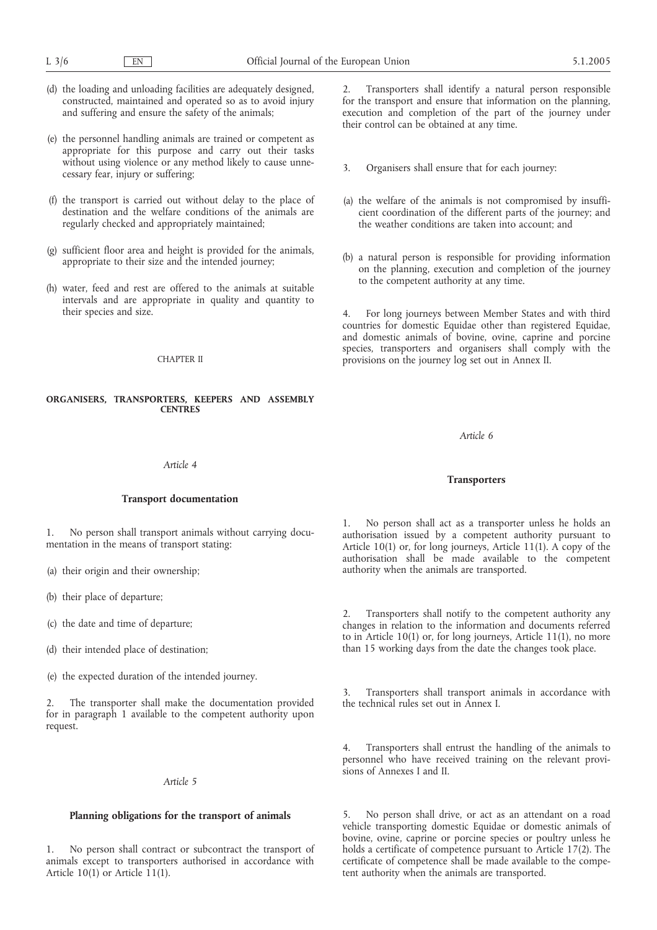- (d) the loading and unloading facilities are adequately designed, constructed, maintained and operated so as to avoid injury and suffering and ensure the safety of the animals;
- (e) the personnel handling animals are trained or competent as appropriate for this purpose and carry out their tasks without using violence or any method likely to cause unnecessary fear, injury or suffering;
- (f) the transport is carried out without delay to the place of destination and the welfare conditions of the animals are regularly checked and appropriately maintained;
- (g) sufficient floor area and height is provided for the animals, appropriate to their size and the intended journey;
- (h) water, feed and rest are offered to the animals at suitable intervals and are appropriate in quality and quantity to their species and size.

### CHAPTER II

#### **ORGANISERS, TRANSPORTERS, KEEPERS AND ASSEMBLY CENTRES**

2. Transporters shall identify a natural person responsible for the transport and ensure that information on the planning, execution and completion of the part of the journey under their control can be obtained at any time.

- 3. Organisers shall ensure that for each journey:
- (a) the welfare of the animals is not compromised by insufficient coordination of the different parts of the journey; and the weather conditions are taken into account; and
- (b) a natural person is responsible for providing information on the planning, execution and completion of the journey to the competent authority at any time.

4. For long journeys between Member States and with third countries for domestic Equidae other than registered Equidae, and domestic animals of bovine, ovine, caprine and porcine species, transporters and organisers shall comply with the provisions on the journey log set out in Annex II.

*Article 6*

# **Transporters**

No person shall act as a transporter unless he holds an authorisation issued by a competent authority pursuant to Article 10(1) or, for long journeys, Article 11(1). A copy of the authorisation shall be made available to the competent authority when the animals are transported.

2. Transporters shall notify to the competent authority any changes in relation to the information and documents referred to in Article 10(1) or, for long journeys, Article 11(1), no more than 15 working days from the date the changes took place.

3. Transporters shall transport animals in accordance with the technical rules set out in Annex I.

4. Transporters shall entrust the handling of the animals to personnel who have received training on the relevant provisions of Annexes I and II.

5. No person shall drive, or act as an attendant on a road vehicle transporting domestic Equidae or domestic animals of bovine, ovine, caprine or porcine species or poultry unless he holds a certificate of competence pursuant to Article 17(2). The certificate of competence shall be made available to the competent authority when the animals are transported.

#### *Article 4*

# **Transport documentation**

1. No person shall transport animals without carrying documentation in the means of transport stating:

(a) their origin and their ownership;

- (b) their place of departure;
- (c) the date and time of departure;
- (d) their intended place of destination;

(e) the expected duration of the intended journey.

2. The transporter shall make the documentation provided for in paragraph 1 available to the competent authority upon request.

### *Article 5*

# **Planning obligations for the transport of animals**

1. No person shall contract or subcontract the transport of animals except to transporters authorised in accordance with Article 10(1) or Article 11(1).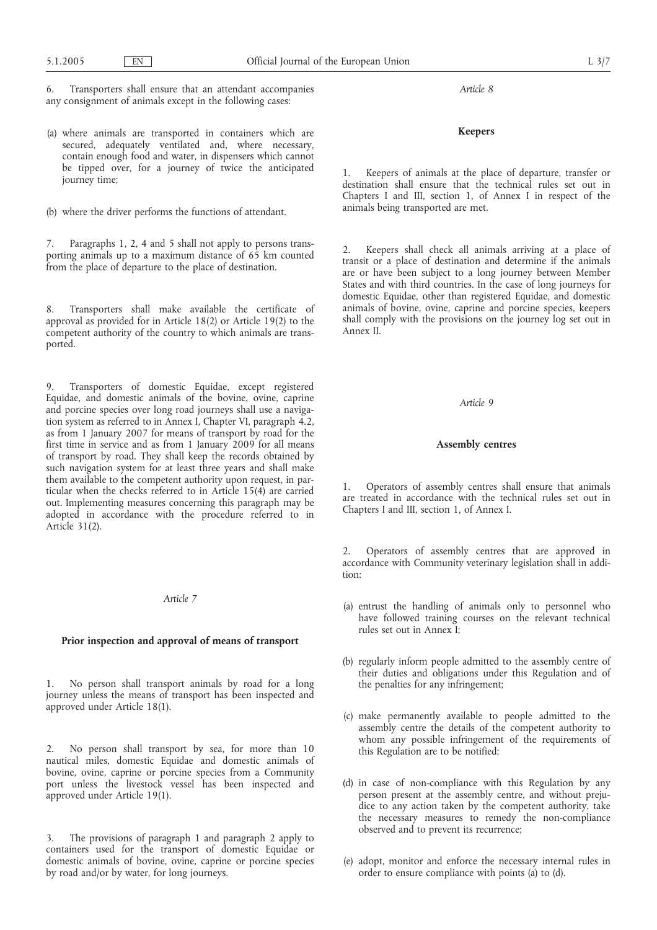Transporters shall ensure that an attendant accompanies any consignment of animals except in the following cases:

(a) where animals are transported in containers which are secured, adequately ventilated and, where necessary, contain enough food and water, in dispensers which cannot be tipped over, for a journey of twice the anticipated journey time;

(b) where the driver performs the functions of attendant.

7. Paragraphs 1, 2, 4 and 5 shall not apply to persons transporting animals up to a maximum distance of 65 km counted from the place of departure to the place of destination.

8. Transporters shall make available the certificate of approval as provided for in Article 18(2) or Article 19(2) to the competent authority of the country to which animals are transported.

9. Transporters of domestic Equidae, except registered Equidae, and domestic animals of the bovine, ovine, caprine and porcine species over long road journeys shall use a navigation system as referred to in Annex I, Chapter VI, paragraph 4.2, as from 1 January 2007 for means of transport by road for the first time in service and as from 1 January 2009 for all means of transport by road. They shall keep the records obtained by such navigation system for at least three years and shall make them available to the competent authority upon request, in particular when the checks referred to in Article 15(4) are carried out. Implementing measures concerning this paragraph may be adopted in accordance with the procedure referred to in Article 31(2).

# *Article 7*

#### **Prior inspection and approval of means of transport**

1. No person shall transport animals by road for a long journey unless the means of transport has been inspected and approved under Article 18(1).

2. No person shall transport by sea, for more than 10 nautical miles, domestic Equidae and domestic animals of bovine, ovine, caprine or porcine species from a Community port unless the livestock vessel has been inspected and approved under Article 19(1).

3. The provisions of paragraph 1 and paragraph 2 apply to containers used for the transport of domestic Equidae or domestic animals of bovine, ovine, caprine or porcine species by road and/or by water, for long journeys.

# *Article 8*

## **Keepers**

Keepers of animals at the place of departure, transfer or destination shall ensure that the technical rules set out in Chapters I and III, section 1, of Annex I in respect of the animals being transported are met.

2. Keepers shall check all animals arriving at a place of transit or a place of destination and determine if the animals are or have been subject to a long journey between Member States and with third countries. In the case of long journeys for domestic Equidae, other than registered Equidae, and domestic animals of bovine, ovine, caprine and porcine species, keepers shall comply with the provisions on the journey log set out in Annex II.

#### *Article 9*

### **Assembly centres**

1. Operators of assembly centres shall ensure that animals are treated in accordance with the technical rules set out in Chapters I and III, section 1, of Annex I.

2. Operators of assembly centres that are approved in accordance with Community veterinary legislation shall in addition:

- (a) entrust the handling of animals only to personnel who have followed training courses on the relevant technical rules set out in Annex I;
- (b) regularly inform people admitted to the assembly centre of their duties and obligations under this Regulation and of the penalties for any infringement;
- (c) make permanently available to people admitted to the assembly centre the details of the competent authority to whom any possible infringement of the requirements of this Regulation are to be notified;
- (d) in case of non-compliance with this Regulation by any person present at the assembly centre, and without prejudice to any action taken by the competent authority, take the necessary measures to remedy the non-compliance observed and to prevent its recurrence;
- (e) adopt, monitor and enforce the necessary internal rules in order to ensure compliance with points (a) to (d).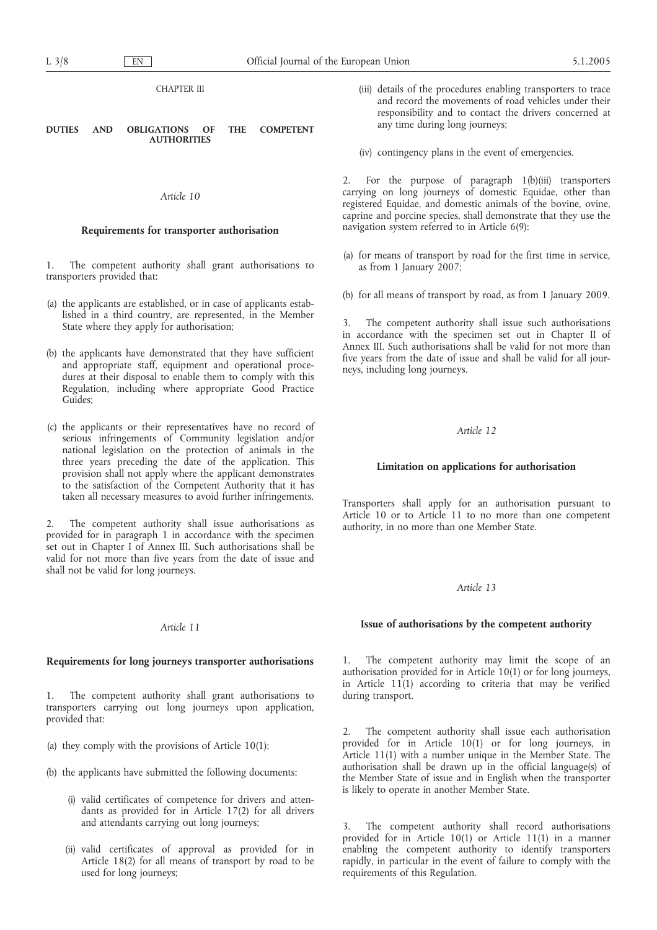CHAPTER III

#### **DUTIES AND OBLIGATIONS OF THE COMPETENT AUTHORITIES**

# *Article 10*

# **Requirements for transporter authorisation**

1. The competent authority shall grant authorisations to transporters provided that:

- (a) the applicants are established, or in case of applicants established in a third country, are represented, in the Member State where they apply for authorisation;
- (b) the applicants have demonstrated that they have sufficient and appropriate staff, equipment and operational procedures at their disposal to enable them to comply with this Regulation, including where appropriate Good Practice Guides;
- (c) the applicants or their representatives have no record of serious infringements of Community legislation and/or national legislation on the protection of animals in the three years preceding the date of the application. This provision shall not apply where the applicant demonstrates to the satisfaction of the Competent Authority that it has taken all necessary measures to avoid further infringements.

The competent authority shall issue authorisations as provided for in paragraph 1 in accordance with the specimen set out in Chapter I of Annex III. Such authorisations shall be valid for not more than five years from the date of issue and shall not be valid for long journeys.

#### *Article 11*

#### **Requirements for long journeys transporter authorisations**

1. The competent authority shall grant authorisations to transporters carrying out long journeys upon application, provided that:

- (a) they comply with the provisions of Article 10(1);
- (b) the applicants have submitted the following documents:
	- (i) valid certificates of competence for drivers and attendants as provided for in Article 17(2) for all drivers and attendants carrying out long journeys;
	- (ii) valid certificates of approval as provided for in Article 18(2) for all means of transport by road to be used for long journeys;
- (iii) details of the procedures enabling transporters to trace and record the movements of road vehicles under their responsibility and to contact the drivers concerned at any time during long journeys;
- (iv) contingency plans in the event of emergencies.

2. For the purpose of paragraph 1(b)(iii) transporters carrying on long journeys of domestic Equidae, other than registered Equidae, and domestic animals of the bovine, ovine, caprine and porcine species, shall demonstrate that they use the navigation system referred to in Article 6(9):

- (a) for means of transport by road for the first time in service, as from 1 January 2007;
- (b) for all means of transport by road, as from 1 January 2009.

3. The competent authority shall issue such authorisations in accordance with the specimen set out in Chapter II of Annex III. Such authorisations shall be valid for not more than five years from the date of issue and shall be valid for all journeys, including long journeys.

# *Article 12*

#### **Limitation on applications for authorisation**

Transporters shall apply for an authorisation pursuant to Article 10 or to Article 11 to no more than one competent authority, in no more than one Member State.

#### *Article 13*

#### **Issue of authorisations by the competent authority**

1. The competent authority may limit the scope of an authorisation provided for in Article 10(1) or for long journeys, in Article 11(1) according to criteria that may be verified during transport.

2. The competent authority shall issue each authorisation provided for in Article 10(1) or for long journeys, in Article 11(1) with a number unique in the Member State. The authorisation shall be drawn up in the official language(s) of the Member State of issue and in English when the transporter is likely to operate in another Member State.

3. The competent authority shall record authorisations provided for in Article 10(1) or Article 11(1) in a manner enabling the competent authority to identify transporters rapidly, in particular in the event of failure to comply with the requirements of this Regulation.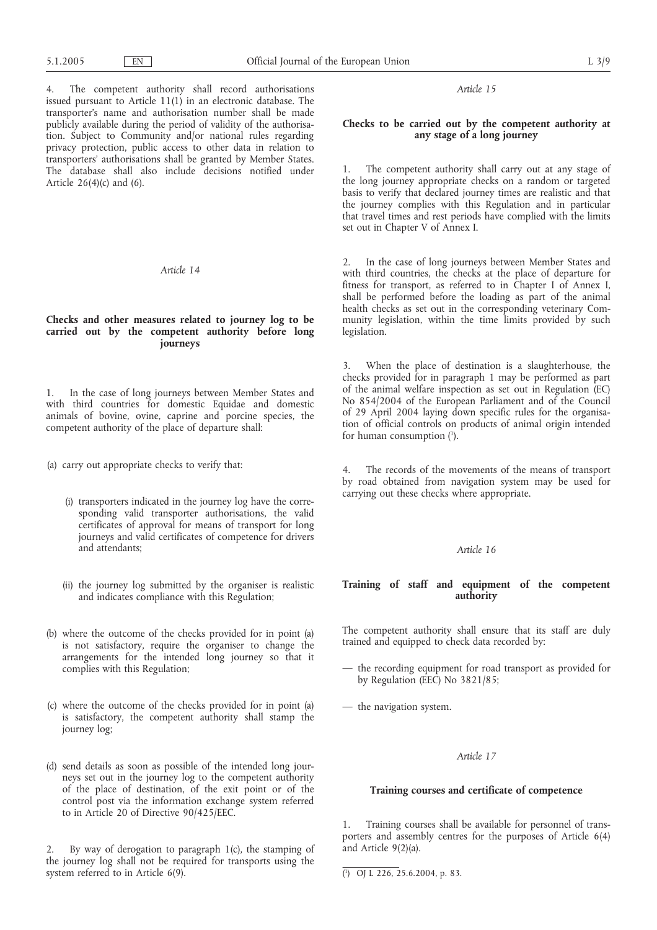The competent authority shall record authorisations issued pursuant to Article 11(1) in an electronic database. The transporter's name and authorisation number shall be made publicly available during the period of validity of the authorisation. Subject to Community and/or national rules regarding privacy protection, public access to other data in relation to transporters' authorisations shall be granted by Member States. The database shall also include decisions notified under Article  $26(4)(c)$  and (6).

## *Article 14*

# **Checks and other measures related to journey log to be carried out by the competent authority before long journeys**

1. In the case of long journeys between Member States and with third countries for domestic Equidae and domestic animals of bovine, ovine, caprine and porcine species, the competent authority of the place of departure shall:

(a) carry out appropriate checks to verify that:

- (i) transporters indicated in the journey log have the corresponding valid transporter authorisations, the valid certificates of approval for means of transport for long journeys and valid certificates of competence for drivers and attendants;
- (ii) the journey log submitted by the organiser is realistic and indicates compliance with this Regulation;
- (b) where the outcome of the checks provided for in point (a) is not satisfactory, require the organiser to change the arrangements for the intended long journey so that it complies with this Regulation;
- (c) where the outcome of the checks provided for in point (a) is satisfactory, the competent authority shall stamp the journey log;
- (d) send details as soon as possible of the intended long journeys set out in the journey log to the competent authority of the place of destination, of the exit point or of the control post via the information exchange system referred to in Article 20 of Directive 90/425/EEC.

2. By way of derogation to paragraph 1(c), the stamping of the journey log shall not be required for transports using the system referred to in Article 6(9).

*Article 15*

# **Checks to be carried out by the competent authority at any stage of a long journey**

1. The competent authority shall carry out at any stage of the long journey appropriate checks on a random or targeted basis to verify that declared journey times are realistic and that the journey complies with this Regulation and in particular that travel times and rest periods have complied with the limits set out in Chapter V of Annex I.

2. In the case of long journeys between Member States and with third countries, the checks at the place of departure for fitness for transport, as referred to in Chapter I of Annex I, shall be performed before the loading as part of the animal health checks as set out in the corresponding veterinary Community legislation, within the time limits provided by such legislation.

3. When the place of destination is a slaughterhouse, the checks provided for in paragraph 1 may be performed as part of the animal welfare inspection as set out in Regulation (EC) No 854/2004 of the European Parliament and of the Council of 29 April 2004 laying down specific rules for the organisation of official controls on products of animal origin intended for human consumption (1).

The records of the movements of the means of transport by road obtained from navigation system may be used for carrying out these checks where appropriate.

# *Article 16*

# **Training of staff and equipment of the competent authority**

The competent authority shall ensure that its staff are duly trained and equipped to check data recorded by:

- the recording equipment for road transport as provided for by Regulation (EEC) No 3821/85;
- the navigation system.

## *Article 17*

# **Training courses and certificate of competence**

1. Training courses shall be available for personnel of transporters and assembly centres for the purposes of Article 6(4) and Article 9(2)(a).

<sup>(</sup> 1 ) OJ L 226, 25.6.2004, p. 83.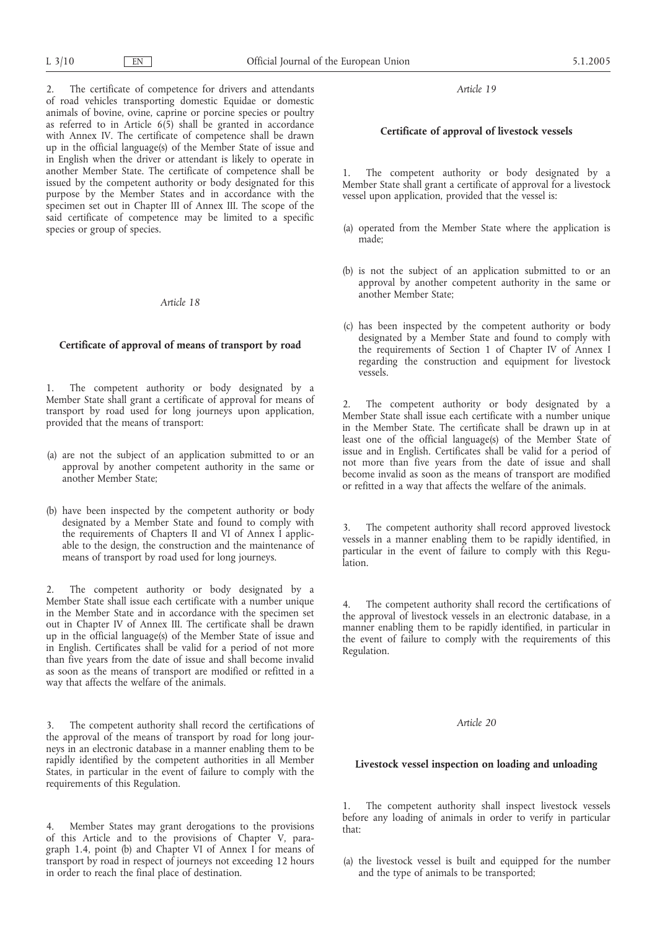The certificate of competence for drivers and attendants of road vehicles transporting domestic Equidae or domestic animals of bovine, ovine, caprine or porcine species or poultry as referred to in Article  $6(5)$  shall be granted in accordance with Annex IV. The certificate of competence shall be drawn up in the official language(s) of the Member State of issue and in English when the driver or attendant is likely to operate in another Member State. The certificate of competence shall be issued by the competent authority or body designated for this purpose by the Member States and in accordance with the specimen set out in Chapter III of Annex III. The scope of the said certificate of competence may be limited to a specific species or group of species.

#### *Article 18*

# **Certificate of approval of means of transport by road**

The competent authority or body designated by a Member State shall grant a certificate of approval for means of transport by road used for long journeys upon application, provided that the means of transport:

- (a) are not the subject of an application submitted to or an approval by another competent authority in the same or another Member State;
- (b) have been inspected by the competent authority or body designated by a Member State and found to comply with the requirements of Chapters II and VI of Annex I applicable to the design, the construction and the maintenance of means of transport by road used for long journeys.

2. The competent authority or body designated by a Member State shall issue each certificate with a number unique in the Member State and in accordance with the specimen set out in Chapter IV of Annex III. The certificate shall be drawn up in the official language(s) of the Member State of issue and in English. Certificates shall be valid for a period of not more than five years from the date of issue and shall become invalid as soon as the means of transport are modified or refitted in a way that affects the welfare of the animals.

3. The competent authority shall record the certifications of the approval of the means of transport by road for long journeys in an electronic database in a manner enabling them to be rapidly identified by the competent authorities in all Member States, in particular in the event of failure to comply with the requirements of this Regulation.

4. Member States may grant derogations to the provisions of this Article and to the provisions of Chapter V, paragraph 1.4, point (b) and Chapter VI of Annex I for means of transport by road in respect of journeys not exceeding 12 hours in order to reach the final place of destination.

*Article 19*

# **Certificate of approval of livestock vessels**

The competent authority or body designated by a Member State shall grant a certificate of approval for a livestock vessel upon application, provided that the vessel is:

- (a) operated from the Member State where the application is made;
- (b) is not the subject of an application submitted to or an approval by another competent authority in the same or another Member State;
- (c) has been inspected by the competent authority or body designated by a Member State and found to comply with the requirements of Section 1 of Chapter IV of Annex I regarding the construction and equipment for livestock vessels.

2. The competent authority or body designated by a Member State shall issue each certificate with a number unique in the Member State. The certificate shall be drawn up in at least one of the official language(s) of the Member State of issue and in English. Certificates shall be valid for a period of not more than five years from the date of issue and shall become invalid as soon as the means of transport are modified or refitted in a way that affects the welfare of the animals.

3. The competent authority shall record approved livestock vessels in a manner enabling them to be rapidly identified, in particular in the event of failure to comply with this Regulation.

4. The competent authority shall record the certifications of the approval of livestock vessels in an electronic database, in a manner enabling them to be rapidly identified, in particular in the event of failure to comply with the requirements of this Regulation.

#### *Article 20*

#### **Livestock vessel inspection on loading and unloading**

1. The competent authority shall inspect livestock vessels before any loading of animals in order to verify in particular that:

(a) the livestock vessel is built and equipped for the number and the type of animals to be transported;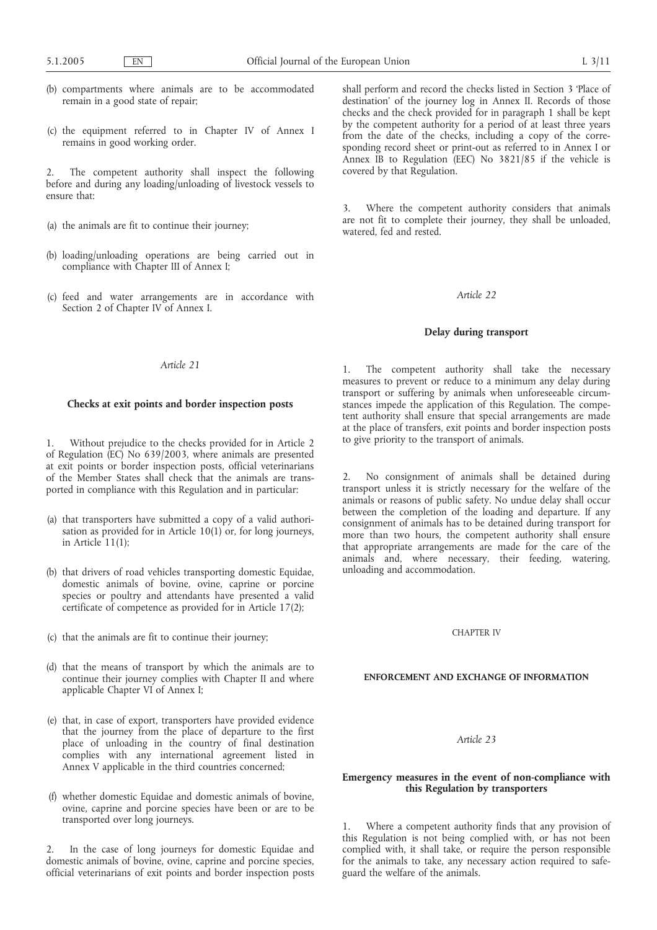- (b) compartments where animals are to be accommodated remain in a good state of repair;
- (c) the equipment referred to in Chapter IV of Annex I remains in good working order.

The competent authority shall inspect the following before and during any loading/unloading of livestock vessels to ensure that:

- (a) the animals are fit to continue their journey;
- (b) loading/unloading operations are being carried out in compliance with Chapter III of Annex I;
- (c) feed and water arrangements are in accordance with Section 2 of Chapter IV of Annex I.

*Article 21*

# **Checks at exit points and border inspection posts**

1. Without prejudice to the checks provided for in Article 2 of Regulation (EC) No 639/2003, where animals are presented at exit points or border inspection posts, official veterinarians of the Member States shall check that the animals are transported in compliance with this Regulation and in particular:

- (a) that transporters have submitted a copy of a valid authorisation as provided for in Article  $10(1)$  or, for long journeys, in Article 11(1);
- (b) that drivers of road vehicles transporting domestic Equidae, domestic animals of bovine, ovine, caprine or porcine species or poultry and attendants have presented a valid certificate of competence as provided for in Article 17(2);
- (c) that the animals are fit to continue their journey;
- (d) that the means of transport by which the animals are to continue their journey complies with Chapter II and where applicable Chapter VI of Annex I;
- (e) that, in case of export, transporters have provided evidence that the journey from the place of departure to the first place of unloading in the country of final destination complies with any international agreement listed in Annex V applicable in the third countries concerned;
- (f) whether domestic Equidae and domestic animals of bovine, ovine, caprine and porcine species have been or are to be transported over long journeys.

2. In the case of long journeys for domestic Equidae and domestic animals of bovine, ovine, caprine and porcine species, official veterinarians of exit points and border inspection posts shall perform and record the checks listed in Section 3 'Place of destination' of the journey log in Annex II. Records of those checks and the check provided for in paragraph 1 shall be kept by the competent authority for a period of at least three years from the date of the checks, including a copy of the corresponding record sheet or print-out as referred to in Annex I or Annex IB to Regulation (EEC) No 3821/85 if the vehicle is covered by that Regulation.

3. Where the competent authority considers that animals are not fit to complete their journey, they shall be unloaded, watered, fed and rested.

#### *Article 22*

#### **Delay during transport**

1. The competent authority shall take the necessary measures to prevent or reduce to a minimum any delay during transport or suffering by animals when unforeseeable circumstances impede the application of this Regulation. The competent authority shall ensure that special arrangements are made at the place of transfers, exit points and border inspection posts to give priority to the transport of animals.

2. No consignment of animals shall be detained during transport unless it is strictly necessary for the welfare of the animals or reasons of public safety. No undue delay shall occur between the completion of the loading and departure. If any consignment of animals has to be detained during transport for more than two hours, the competent authority shall ensure that appropriate arrangements are made for the care of the animals and, where necessary, their feeding, watering, unloading and accommodation.

#### CHAPTER IV

#### **ENFORCEMENT AND EXCHANGE OF INFORMATION**

#### *Article 23*

# **Emergency measures in the event of non-compliance with this Regulation by transporters**

1. Where a competent authority finds that any provision of this Regulation is not being complied with, or has not been complied with, it shall take, or require the person responsible for the animals to take, any necessary action required to safeguard the welfare of the animals.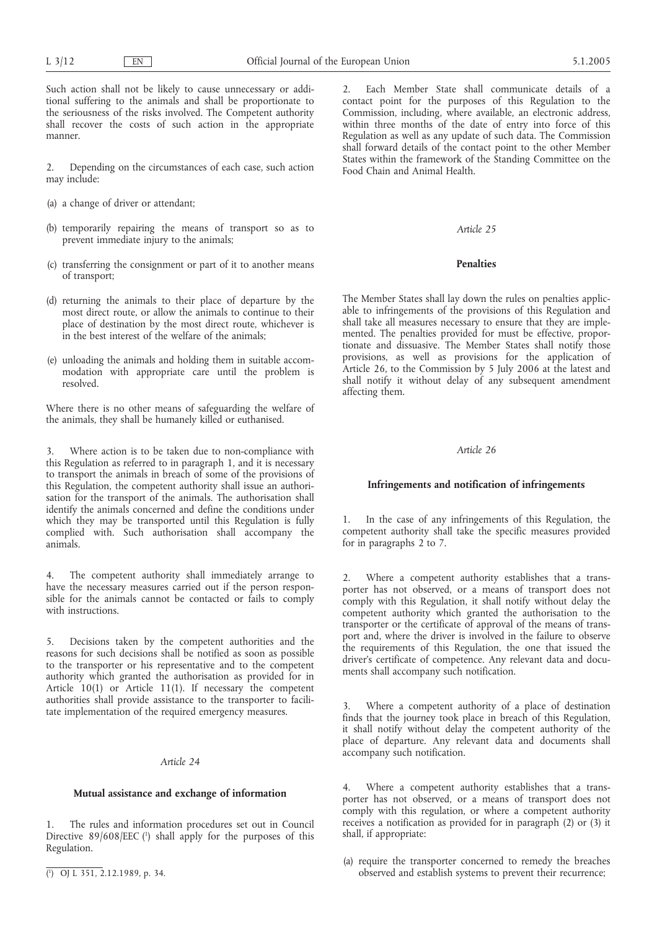Such action shall not be likely to cause unnecessary or additional suffering to the animals and shall be proportionate to the seriousness of the risks involved. The Competent authority shall recover the costs of such action in the appropriate manner.

2. Depending on the circumstances of each case, such action may include:

- (a) a change of driver or attendant;
- (b) temporarily repairing the means of transport so as to prevent immediate injury to the animals;
- (c) transferring the consignment or part of it to another means of transport;
- (d) returning the animals to their place of departure by the most direct route, or allow the animals to continue to their place of destination by the most direct route, whichever is in the best interest of the welfare of the animals;
- (e) unloading the animals and holding them in suitable accommodation with appropriate care until the problem is resolved.

Where there is no other means of safeguarding the welfare of the animals, they shall be humanely killed or euthanised.

3. Where action is to be taken due to non-compliance with this Regulation as referred to in paragraph 1, and it is necessary to transport the animals in breach of some of the provisions of this Regulation, the competent authority shall issue an authorisation for the transport of the animals. The authorisation shall identify the animals concerned and define the conditions under which they may be transported until this Regulation is fully complied with. Such authorisation shall accompany the animals.

4. The competent authority shall immediately arrange to have the necessary measures carried out if the person responsible for the animals cannot be contacted or fails to comply with instructions.

5. Decisions taken by the competent authorities and the reasons for such decisions shall be notified as soon as possible to the transporter or his representative and to the competent authority which granted the authorisation as provided for in Article 10(1) or Article 11(1). If necessary the competent authorities shall provide assistance to the transporter to facilitate implementation of the required emergency measures.

# *Article 24*

## **Mutual assistance and exchange of information**

1. The rules and information procedures set out in Council Directive 89/608/EEC (1) shall apply for the purposes of this Regulation.

Each Member State shall communicate details of a contact point for the purposes of this Regulation to the Commission, including, where available, an electronic address, within three months of the date of entry into force of this Regulation as well as any update of such data. The Commission shall forward details of the contact point to the other Member States within the framework of the Standing Committee on the Food Chain and Animal Health.

#### *Article 25*

# **Penalties**

The Member States shall lay down the rules on penalties applicable to infringements of the provisions of this Regulation and shall take all measures necessary to ensure that they are implemented. The penalties provided for must be effective, proportionate and dissuasive. The Member States shall notify those provisions, as well as provisions for the application of Article 26, to the Commission by 5 July 2006 at the latest and shall notify it without delay of any subsequent amendment affecting them.

## *Article 26*

### **Infringements and notification of infringements**

1. In the case of any infringements of this Regulation, the competent authority shall take the specific measures provided for in paragraphs 2 to 7.

2. Where a competent authority establishes that a transporter has not observed, or a means of transport does not comply with this Regulation, it shall notify without delay the competent authority which granted the authorisation to the transporter or the certificate of approval of the means of transport and, where the driver is involved in the failure to observe the requirements of this Regulation, the one that issued the driver's certificate of competence. Any relevant data and documents shall accompany such notification.

Where a competent authority of a place of destination finds that the journey took place in breach of this Regulation, it shall notify without delay the competent authority of the place of departure. Any relevant data and documents shall accompany such notification.

4. Where a competent authority establishes that a transporter has not observed, or a means of transport does not comply with this regulation, or where a competent authority receives a notification as provided for in paragraph (2) or (3) it shall, if appropriate:

(a) require the transporter concerned to remedy the breaches observed and establish systems to prevent their recurrence;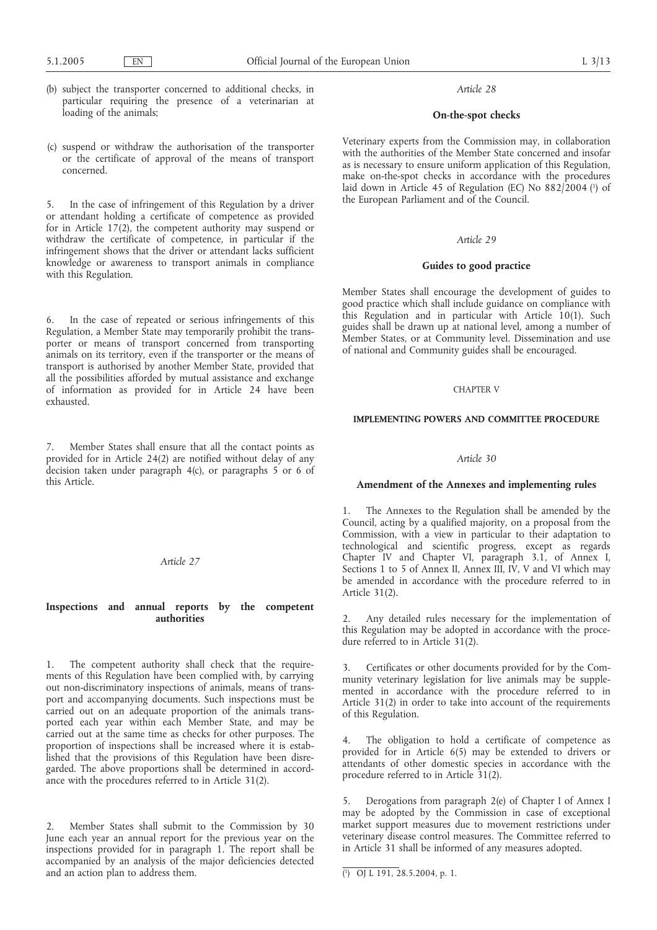- (b) subject the transporter concerned to additional checks, in particular requiring the presence of a veterinarian at loading of the animals;
- (c) suspend or withdraw the authorisation of the transporter or the certificate of approval of the means of transport concerned.

5. In the case of infringement of this Regulation by a driver or attendant holding a certificate of competence as provided for in Article 17(2), the competent authority may suspend or withdraw the certificate of competence, in particular if the infringement shows that the driver or attendant lacks sufficient knowledge or awareness to transport animals in compliance with this Regulation.

6. In the case of repeated or serious infringements of this Regulation, a Member State may temporarily prohibit the transporter or means of transport concerned from transporting animals on its territory, even if the transporter or the means of transport is authorised by another Member State, provided that all the possibilities afforded by mutual assistance and exchange of information as provided for in Article 24 have been exhausted.

7. Member States shall ensure that all the contact points as provided for in Article 24(2) are notified without delay of any decision taken under paragraph 4(c), or paragraphs 5 or 6 of this Article.

# *Article 27*

# **Inspections and annual reports by the competent authorities**

1. The competent authority shall check that the requirements of this Regulation have been complied with, by carrying out non-discriminatory inspections of animals, means of transport and accompanying documents. Such inspections must be carried out on an adequate proportion of the animals transported each year within each Member State, and may be carried out at the same time as checks for other purposes. The proportion of inspections shall be increased where it is established that the provisions of this Regulation have been disregarded. The above proportions shall be determined in accordance with the procedures referred to in Article 31(2).

2. Member States shall submit to the Commission by 30 June each year an annual report for the previous year on the inspections provided for in paragraph 1. The report shall be accompanied by an analysis of the major deficiencies detected and an action plan to address them.

# *Article 28*

# **On-the-spot checks**

Veterinary experts from the Commission may, in collaboration with the authorities of the Member State concerned and insofar as is necessary to ensure uniform application of this Regulation, make on-the-spot checks in accordance with the procedures laid down in Article 45 of Regulation (EC) No 882/2004 (1 ) of the European Parliament and of the Council.

#### *Article 29*

#### **Guides to good practice**

Member States shall encourage the development of guides to good practice which shall include guidance on compliance with this Regulation and in particular with Article  $10(1)$ . Such guides shall be drawn up at national level, among a number of Member States, or at Community level. Dissemination and use of national and Community guides shall be encouraged.

#### CHAPTER V

### **IMPLEMENTING POWERS AND COMMITTEE PROCEDURE**

## *Article 30*

# **Amendment of the Annexes and implementing rules**

1. The Annexes to the Regulation shall be amended by the Council, acting by a qualified majority, on a proposal from the Commission, with a view in particular to their adaptation to technological and scientific progress, except as regards Chapter IV and Chapter VI, paragraph 3.1, of Annex I, Sections 1 to 5 of Annex II, Annex III, IV, V and VI which may be amended in accordance with the procedure referred to in Article 31(2).

Any detailed rules necessary for the implementation of this Regulation may be adopted in accordance with the procedure referred to in Article  $31(2)$ .

3. Certificates or other documents provided for by the Community veterinary legislation for live animals may be supplemented in accordance with the procedure referred to in Article 31(2) in order to take into account of the requirements of this Regulation.

4. The obligation to hold a certificate of competence as provided for in Article 6(5) may be extended to drivers or attendants of other domestic species in accordance with the procedure referred to in Article 31(2).

5. Derogations from paragraph 2(e) of Chapter I of Annex I may be adopted by the Commission in case of exceptional market support measures due to movement restrictions under veterinary disease control measures. The Committee referred to in Article 31 shall be informed of any measures adopted.

<sup>(</sup> 1 ) OJ L 191, 28.5.2004, p. 1.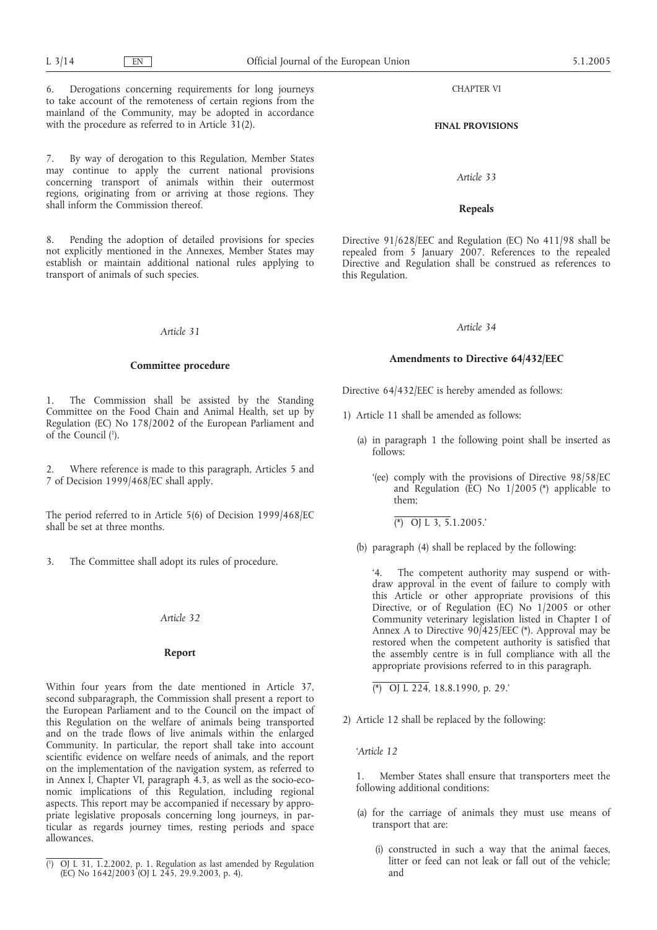6. Derogations concerning requirements for long journeys to take account of the remoteness of certain regions from the mainland of the Community, may be adopted in accordance with the procedure as referred to in Article  $31(2)$ .

7. By way of derogation to this Regulation, Member States may continue to apply the current national provisions concerning transport of animals within their outermost regions, originating from or arriving at those regions. They shall inform the Commission thereof.

8. Pending the adoption of detailed provisions for species not explicitly mentioned in the Annexes, Member States may establish or maintain additional national rules applying to transport of animals of such species.

# *Article 31*

### **Committee procedure**

1. The Commission shall be assisted by the Standing Committee on the Food Chain and Animal Health, set up by Regulation (EC) No 178/2002 of the European Parliament and of the Council (1 ).

Where reference is made to this paragraph, Articles 5 and 7 of Decision 1999/468/EC shall apply.

The period referred to in Article 5(6) of Decision 1999/468/EC shall be set at three months.

3. The Committee shall adopt its rules of procedure.

# *Article 32*

#### **Report**

Within four years from the date mentioned in Article 37, second subparagraph, the Commission shall present a report to the European Parliament and to the Council on the impact of this Regulation on the welfare of animals being transported and on the trade flows of live animals within the enlarged Community. In particular, the report shall take into account scientific evidence on welfare needs of animals, and the report on the implementation of the navigation system, as referred to in Annex I, Chapter VI, paragraph 4.3, as well as the socio-economic implications of this Regulation, including regional aspects. This report may be accompanied if necessary by appropriate legislative proposals concerning long journeys, in particular as regards journey times, resting periods and space allowances.

#### CHAPTER VI

# **FINAL PROVISIONS**

*Article 33*

#### **Repeals**

Directive 91/628/EEC and Regulation (EC) No 411/98 shall be repealed from 5 January 2007. References to the repealed Directive and Regulation shall be construed as references to this Regulation.

#### *Article 34*

#### **Amendments to Directive 64/432/EEC**

Directive 64/432/EEC is hereby amended as follows:

- 1) Article 11 shall be amended as follows:
	- (a) in paragraph 1 the following point shall be inserted as follows:
		- '(ee) comply with the provisions of Directive 98/58/EC and Regulation (EC) No 1/2005 (\*) applicable to them;

(\*) OJ L 3, 5.1.2005.'

(b) paragraph (4) shall be replaced by the following:

'4. The competent authority may suspend or withdraw approval in the event of failure to comply with this Article or other appropriate provisions of this Directive, or of Regulation (EC) No 1/2005 or other Community veterinary legislation listed in Chapter I of Annex A to Directive 90/425/EEC (\*). Approval may be restored when the competent authority is satisfied that the assembly centre is in full compliance with all the appropriate provisions referred to in this paragraph.

- $\overline{(*)}$  OJ L 224, 18.8.1990, p. 29.'
- 2) Article 12 shall be replaced by the following:

*'Article 12*

1. Member States shall ensure that transporters meet the following additional conditions:

- (a) for the carriage of animals they must use means of transport that are:
	- (i) constructed in such a way that the animal faeces, litter or feed can not leak or fall out of the vehicle; and

<sup>(</sup> 1 ) OJ L 31, 1.2.2002, p. 1. Regulation as last amended by Regulation (EC) No 1642/2003 (OJ L 245, 29.9.2003, p. 4).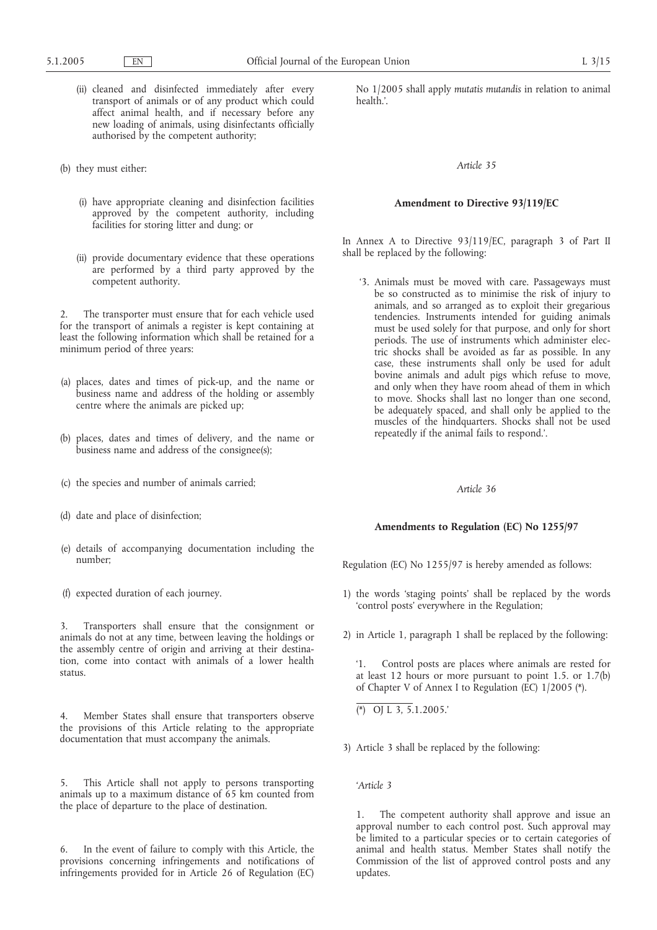- (ii) cleaned and disinfected immediately after every transport of animals or of any product which could affect animal health, and if necessary before any new loading of animals, using disinfectants officially authorised by the competent authority;
- (b) they must either:
	- (i) have appropriate cleaning and disinfection facilities approved by the competent authority, including facilities for storing litter and dung; or
	- (ii) provide documentary evidence that these operations are performed by a third party approved by the competent authority.

The transporter must ensure that for each vehicle used for the transport of animals a register is kept containing at least the following information which shall be retained for a minimum period of three years:

- (a) places, dates and times of pick-up, and the name or business name and address of the holding or assembly centre where the animals are picked up;
- (b) places, dates and times of delivery, and the name or business name and address of the consignee(s);
- (c) the species and number of animals carried;
- (d) date and place of disinfection;
- (e) details of accompanying documentation including the number;
- (f) expected duration of each journey.

3. Transporters shall ensure that the consignment or animals do not at any time, between leaving the holdings or the assembly centre of origin and arriving at their destination, come into contact with animals of a lower health status.

Member States shall ensure that transporters observe the provisions of this Article relating to the appropriate documentation that must accompany the animals.

5. This Article shall not apply to persons transporting animals up to a maximum distance of 65 km counted from the place of departure to the place of destination.

6. In the event of failure to comply with this Article, the provisions concerning infringements and notifications of infringements provided for in Article 26 of Regulation (EC)

No 1/2005 shall apply *mutatis mutandis* in relation to animal health<sup>'</sup>

# *Article 35*

### **Amendment to Directive 93/119/EC**

In Annex A to Directive 93/119/EC, paragraph 3 of Part II shall be replaced by the following:

'3. Animals must be moved with care. Passageways must be so constructed as to minimise the risk of injury to animals, and so arranged as to exploit their gregarious tendencies. Instruments intended for guiding animals must be used solely for that purpose, and only for short periods. The use of instruments which administer electric shocks shall be avoided as far as possible. In any case, these instruments shall only be used for adult bovine animals and adult pigs which refuse to move, and only when they have room ahead of them in which to move. Shocks shall last no longer than one second, be adequately spaced, and shall only be applied to the muscles of the hindquarters. Shocks shall not be used repeatedly if the animal fails to respond.'.

### *Article 36*

#### **Amendments to Regulation (EC) No 1255/97**

Regulation (EC) No 1255/97 is hereby amended as follows:

- 1) the words 'staging points' shall be replaced by the words 'control posts' everywhere in the Regulation;
- 2) in Article 1, paragraph 1 shall be replaced by the following:

'1. Control posts are places where animals are rested for at least 12 hours or more pursuant to point 1.5. or 1.7(b) of Chapter V of Annex I to Regulation (EC) 1/2005 (\*).

 $\overline{(*)$  OJ L 3, 5.1.2005.'

3) Article 3 shall be replaced by the following:

*'Article 3*

1. The competent authority shall approve and issue an approval number to each control post. Such approval may be limited to a particular species or to certain categories of animal and health status. Member States shall notify the Commission of the list of approved control posts and any updates.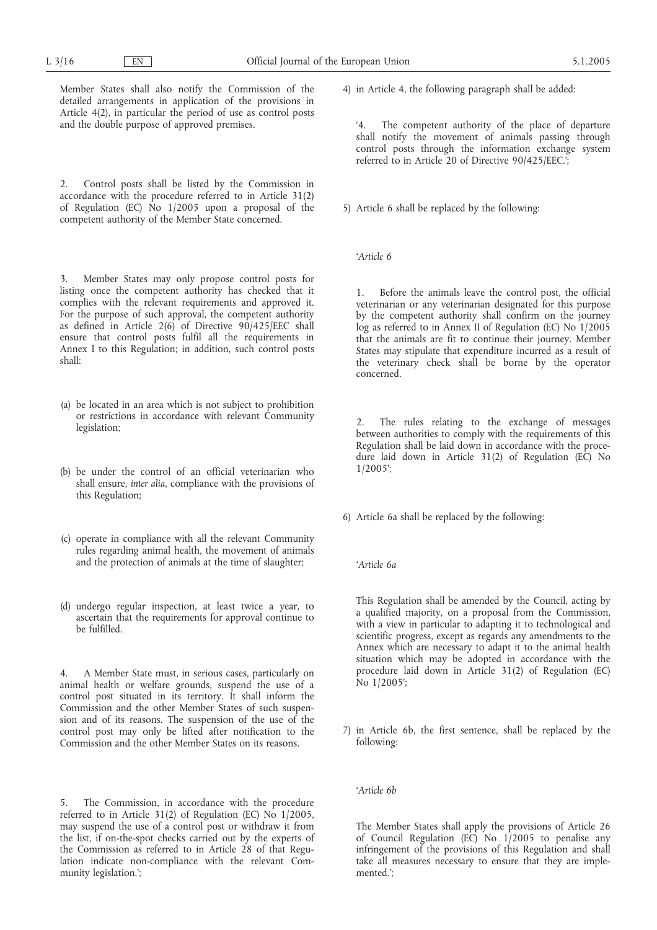Member States shall also notify the Commission of the detailed arrangements in application of the provisions in Article 4(2), in particular the period of use as control posts and the double purpose of approved premises.

2. Control posts shall be listed by the Commission in accordance with the procedure referred to in Article 31(2) of Regulation (EC) No 1/2005 upon a proposal of the competent authority of the Member State concerned.

3. Member States may only propose control posts for listing once the competent authority has checked that it complies with the relevant requirements and approved it. For the purpose of such approval, the competent authority as defined in Article  $2(6)$  of Directive  $90/425/EEC$  shall ensure that control posts fulfil all the requirements in Annex I to this Regulation; in addition, such control posts shall:

- (a) be located in an area which is not subject to prohibition or restrictions in accordance with relevant Community legislation;
- (b) be under the control of an official veterinarian who shall ensure, *inter alia*, compliance with the provisions of this Regulation;
- (c) operate in compliance with all the relevant Community rules regarding animal health, the movement of animals and the protection of animals at the time of slaughter;
- (d) undergo regular inspection, at least twice a year, to ascertain that the requirements for approval continue to be fulfilled.

4. A Member State must, in serious cases, particularly on animal health or welfare grounds, suspend the use of a control post situated in its territory. It shall inform the Commission and the other Member States of such suspension and of its reasons. The suspension of the use of the control post may only be lifted after notification to the Commission and the other Member States on its reasons.

5. The Commission, in accordance with the procedure referred to in Article 31(2) of Regulation (EC)  $N_0$  1/2005, may suspend the use of a control post or withdraw it from the list, if on-the-spot checks carried out by the experts of the Commission as referred to in Article 28 of that Regulation indicate non-compliance with the relevant Community legislation.';

4) in Article 4, the following paragraph shall be added:

'4. The competent authority of the place of departure shall notify the movement of animals passing through control posts through the information exchange system referred to in Article 20 of Directive 90/425/EEC.';

5) Article 6 shall be replaced by the following:

## *'Article 6*

1. Before the animals leave the control post, the official veterinarian or any veterinarian designated for this purpose by the competent authority shall confirm on the journey log as referred to in Annex II of Regulation (EC) No 1/2005 that the animals are fit to continue their journey. Member States may stipulate that expenditure incurred as a result of the veterinary check shall be borne by the operator concerned.

2. The rules relating to the exchange of messages between authorities to comply with the requirements of this Regulation shall be laid down in accordance with the procedure laid down in Article 31(2) of Regulation (EC) No 1/2005';

6) Article 6a shall be replaced by the following:

# *'Article 6a*

This Regulation shall be amended by the Council, acting by a qualified majority, on a proposal from the Commission, with a view in particular to adapting it to technological and scientific progress, except as regards any amendments to the Annex which are necessary to adapt it to the animal health situation which may be adopted in accordance with the procedure laid down in Article 31(2) of Regulation (EC) No 1/2005';

7) in Article 6b, the first sentence, shall be replaced by the following:

# *'Article 6b*

The Member States shall apply the provisions of Article 26 of Council Regulation (EC) No  $1/2005$  to penalise any infringement of the provisions of this Regulation and shall take all measures necessary to ensure that they are implemented.';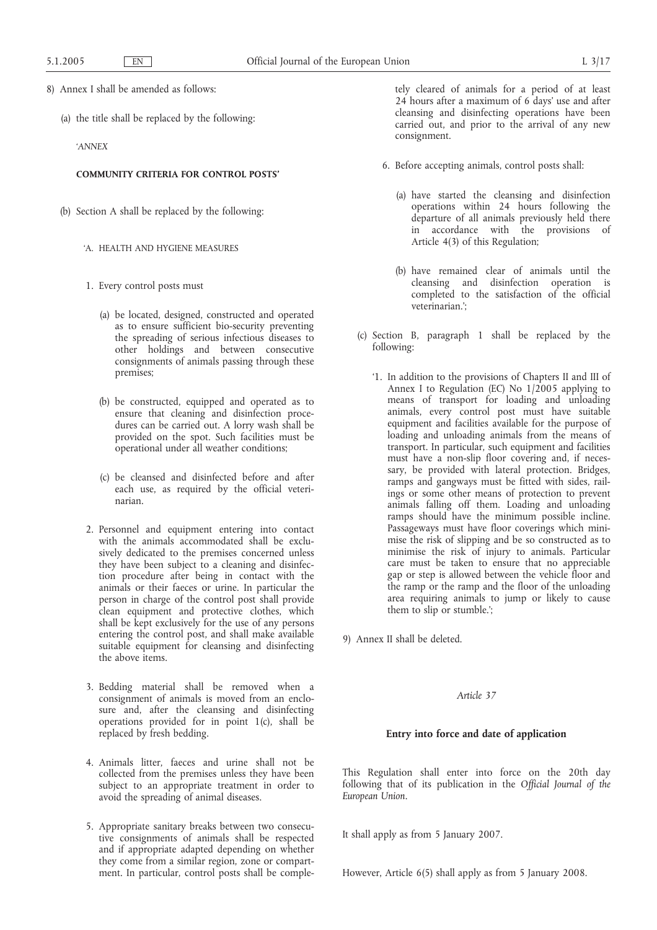8) Annex I shall be amended as follows:

(a) the title shall be replaced by the following:

*'ANNEX*

# **COMMUNITY CRITERIA FOR CONTROL POSTS'**

- (b) Section A shall be replaced by the following:
	- 'A. HEALTH AND HYGIENE MEASURES
	- 1. Every control posts must
		- (a) be located, designed, constructed and operated as to ensure sufficient bio-security preventing the spreading of serious infectious diseases to other holdings and between consecutive consignments of animals passing through these premises;
		- (b) be constructed, equipped and operated as to ensure that cleaning and disinfection procedures can be carried out. A lorry wash shall be provided on the spot. Such facilities must be operational under all weather conditions;
		- (c) be cleansed and disinfected before and after each use, as required by the official veterinarian.
	- 2. Personnel and equipment entering into contact with the animals accommodated shall be exclusively dedicated to the premises concerned unless they have been subject to a cleaning and disinfection procedure after being in contact with the animals or their faeces or urine. In particular the person in charge of the control post shall provide clean equipment and protective clothes, which shall be kept exclusively for the use of any persons entering the control post, and shall make available suitable equipment for cleansing and disinfecting the above items.
	- 3. Bedding material shall be removed when a consignment of animals is moved from an enclosure and, after the cleansing and disinfecting operations provided for in point 1(c), shall be replaced by fresh bedding.
	- 4. Animals litter, faeces and urine shall not be collected from the premises unless they have been subject to an appropriate treatment in order to avoid the spreading of animal diseases.
	- 5. Appropriate sanitary breaks between two consecutive consignments of animals shall be respected and if appropriate adapted depending on whether they come from a similar region, zone or compartment. In particular, control posts shall be comple-

tely cleared of animals for a period of at least 24 hours after a maximum of 6 days' use and after cleansing and disinfecting operations have been carried out, and prior to the arrival of any new consignment.

- 6. Before accepting animals, control posts shall:
	- (a) have started the cleansing and disinfection operations within 24 hours following the departure of all animals previously held there in accordance with the provisions of Article 4(3) of this Regulation;
	- (b) have remained clear of animals until the cleansing and disinfection operation is completed to the satisfaction of the official veterinarian.';
- (c) Section B, paragraph 1 shall be replaced by the following:
	- '1. In addition to the provisions of Chapters II and III of Annex I to Regulation (EC) No 1/2005 applying to means of transport for loading and unloading animals, every control post must have suitable equipment and facilities available for the purpose of loading and unloading animals from the means of transport. In particular, such equipment and facilities must have a non-slip floor covering and, if necessary, be provided with lateral protection. Bridges, ramps and gangways must be fitted with sides, railings or some other means of protection to prevent animals falling off them. Loading and unloading ramps should have the minimum possible incline. Passageways must have floor coverings which minimise the risk of slipping and be so constructed as to minimise the risk of injury to animals. Particular care must be taken to ensure that no appreciable gap or step is allowed between the vehicle floor and the ramp or the ramp and the floor of the unloading area requiring animals to jump or likely to cause them to slip or stumble.';

9) Annex II shall be deleted.

# *Article 37*

# **Entry into force and date of application**

This Regulation shall enter into force on the 20th day following that of its publication in the *Official Journal of the European Union*.

It shall apply as from 5 January 2007.

However, Article 6(5) shall apply as from 5 January 2008.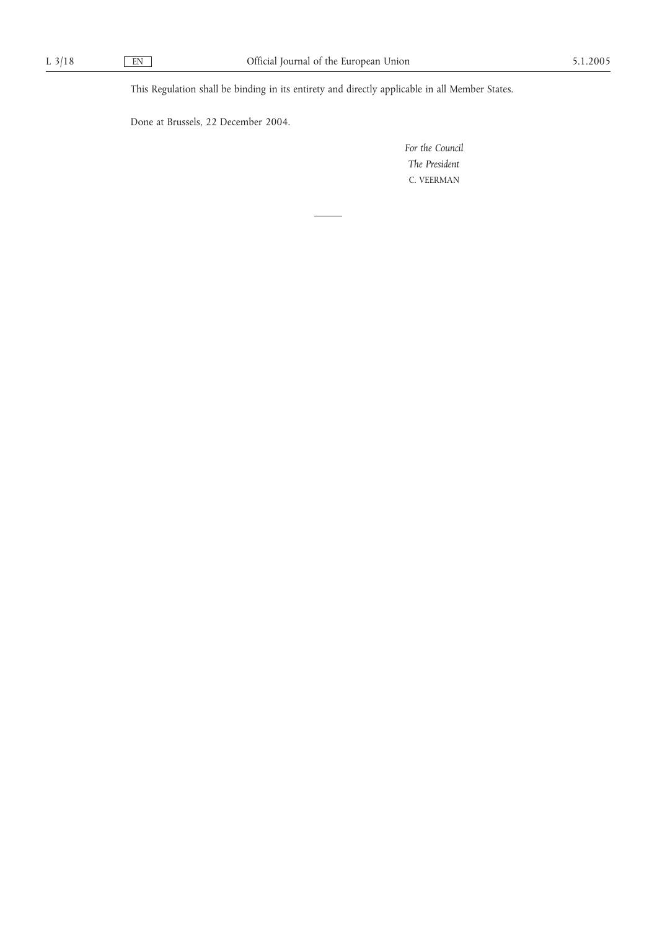This Regulation shall be binding in its entirety and directly applicable in all Member States.

Done at Brussels, 22 December 2004.

*For the Council The President* C. VEERMAN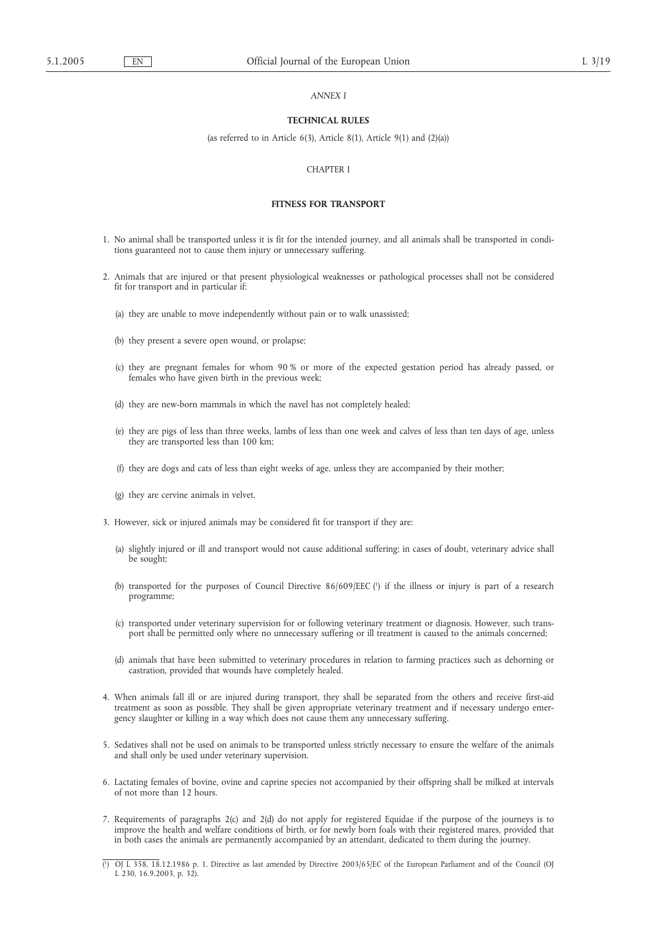## *ANNEX I*

### **TECHNICAL RULES**

(as referred to in Article 6(3), Article 8(1), Article 9(1) and  $(2)(a)$ )

### CHAPTER I

### **FITNESS FOR TRANSPORT**

- 1. No animal shall be transported unless it is fit for the intended journey, and all animals shall be transported in conditions guaranteed not to cause them injury or unnecessary suffering.
- 2. Animals that are injured or that present physiological weaknesses or pathological processes shall not be considered fit for transport and in particular if:
	- (a) they are unable to move independently without pain or to walk unassisted;
	- (b) they present a severe open wound, or prolapse;
	- (c) they are pregnant females for whom 90 % or more of the expected gestation period has already passed, or females who have given birth in the previous week;
	- (d) they are new-born mammals in which the navel has not completely healed;
	- (e) they are pigs of less than three weeks, lambs of less than one week and calves of less than ten days of age, unless they are transported less than 100 km;
	- (f) they are dogs and cats of less than eight weeks of age, unless they are accompanied by their mother;
	- (g) they are cervine animals in velvet.
- 3. However, sick or injured animals may be considered fit for transport if they are:
	- (a) slightly injured or ill and transport would not cause additional suffering; in cases of doubt, veterinary advice shall be sought;
	- (b) transported for the purposes of Council Directive 86/609/EEC (<sup>1</sup>) if the illness or injury is part of a research programme;
	- (c) transported under veterinary supervision for or following veterinary treatment or diagnosis. However, such transport shall be permitted only where no unnecessary suffering or ill treatment is caused to the animals concerned;
	- (d) animals that have been submitted to veterinary procedures in relation to farming practices such as dehorning or castration, provided that wounds have completely healed.
- 4. When animals fall ill or are injured during transport, they shall be separated from the others and receive first-aid treatment as soon as possible. They shall be given appropriate veterinary treatment and if necessary undergo emergency slaughter or killing in a way which does not cause them any unnecessary suffering.
- 5. Sedatives shall not be used on animals to be transported unless strictly necessary to ensure the welfare of the animals and shall only be used under veterinary supervision.
- 6. Lactating females of bovine, ovine and caprine species not accompanied by their offspring shall be milked at intervals of not more than 12 hours.
- 7. Requirements of paragraphs 2(c) and 2(d) do not apply for registered Equidae if the purpose of the journeys is to improve the health and welfare conditions of birth, or for newly born foals with their registered mares, provided that in both cases the animals are permanently accompanied by an attendant, dedicated to them during the journey.

<sup>(</sup> 1 ) OJ L 358, 18.12.1986 p. 1. Directive as last amended by Directive 2003/65/EC of the European Parliament and of the Council (OJ L 230, 16.9.2003, p. 32).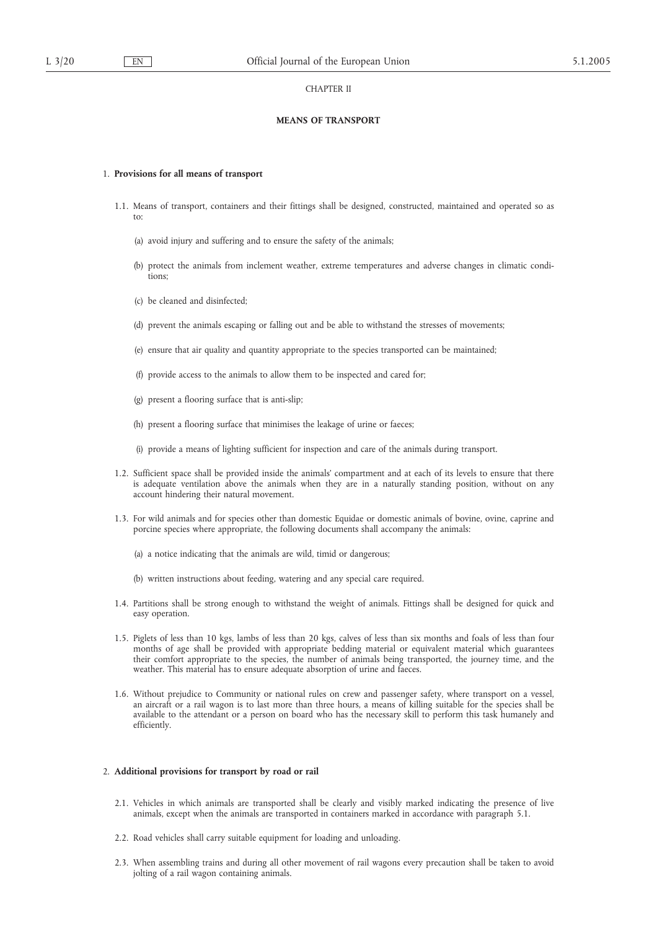## CHAPTER II

### **MEANS OF TRANSPORT**

#### 1. **Provisions for all means of transport**

- 1.1. Means of transport, containers and their fittings shall be designed, constructed, maintained and operated so as to:
	- (a) avoid injury and suffering and to ensure the safety of the animals;
	- (b) protect the animals from inclement weather, extreme temperatures and adverse changes in climatic conditions;
	- (c) be cleaned and disinfected;
	- (d) prevent the animals escaping or falling out and be able to withstand the stresses of movements;
	- (e) ensure that air quality and quantity appropriate to the species transported can be maintained;
	- (f) provide access to the animals to allow them to be inspected and cared for;
	- (g) present a flooring surface that is anti-slip;
	- (h) present a flooring surface that minimises the leakage of urine or faeces;
	- (i) provide a means of lighting sufficient for inspection and care of the animals during transport.
- 1.2. Sufficient space shall be provided inside the animals' compartment and at each of its levels to ensure that there is adequate ventilation above the animals when they are in a naturally standing position, without on any account hindering their natural movement.
- 1.3. For wild animals and for species other than domestic Equidae or domestic animals of bovine, ovine, caprine and porcine species where appropriate, the following documents shall accompany the animals:
	- (a) a notice indicating that the animals are wild, timid or dangerous;
	- (b) written instructions about feeding, watering and any special care required.
- 1.4. Partitions shall be strong enough to withstand the weight of animals. Fittings shall be designed for quick and easy operation.
- 1.5. Piglets of less than 10 kgs, lambs of less than 20 kgs, calves of less than six months and foals of less than four months of age shall be provided with appropriate bedding material or equivalent material which guarantees their comfort appropriate to the species, the number of animals being transported, the journey time, and the weather. This material has to ensure adequate absorption of urine and faeces.
- 1.6. Without prejudice to Community or national rules on crew and passenger safety, where transport on a vessel, an aircraft or a rail wagon is to last more than three hours, a means of killing suitable for the species shall be available to the attendant or a person on board who has the necessary skill to perform this task humanely and efficiently.

#### 2. **Additional provisions for transport by road or rail**

- 2.1. Vehicles in which animals are transported shall be clearly and visibly marked indicating the presence of live animals, except when the animals are transported in containers marked in accordance with paragraph 5.1.
- 2.2. Road vehicles shall carry suitable equipment for loading and unloading.
- 2.3. When assembling trains and during all other movement of rail wagons every precaution shall be taken to avoid jolting of a rail wagon containing animals.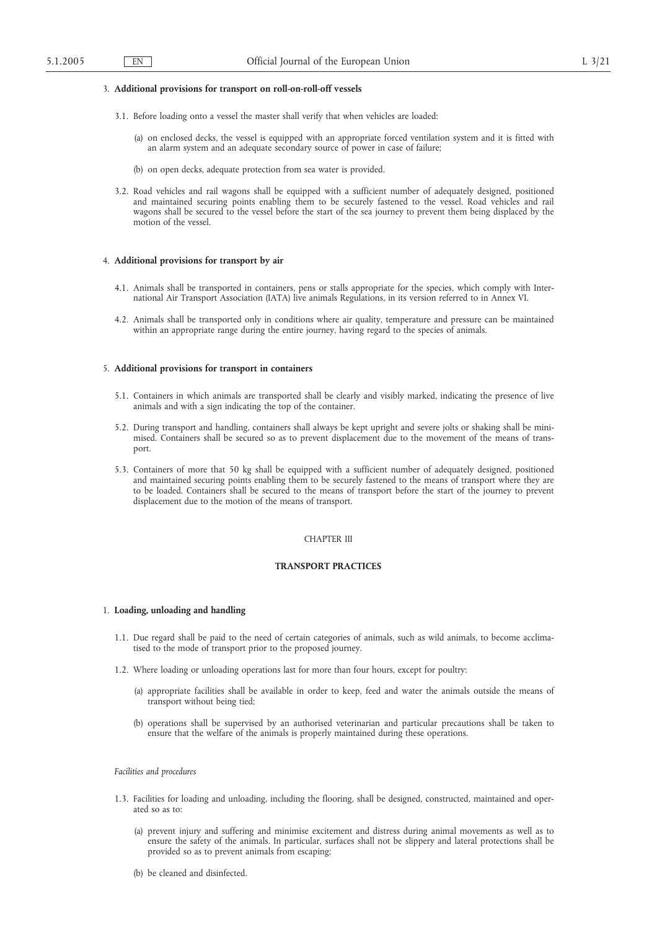#### 3. **Additional provisions for transport on roll-on-roll-off vessels**

- 3.1. Before loading onto a vessel the master shall verify that when vehicles are loaded:
	- (a) on enclosed decks, the vessel is equipped with an appropriate forced ventilation system and it is fitted with an alarm system and an adequate secondary source of power in case of failure;
	- (b) on open decks, adequate protection from sea water is provided.
- 3.2. Road vehicles and rail wagons shall be equipped with a sufficient number of adequately designed, positioned and maintained securing points enabling them to be securely fastened to the vessel. Road vehicles and rail wagons shall be secured to the vessel before the start of the sea journey to prevent them being displaced by the motion of the vessel.

#### 4. **Additional provisions for transport by air**

- 4.1. Animals shall be transported in containers, pens or stalls appropriate for the species, which comply with International Air Transport Association (IATA) live animals Regulations, in its version referred to in Annex VI.
- 4.2. Animals shall be transported only in conditions where air quality, temperature and pressure can be maintained within an appropriate range during the entire journey, having regard to the species of animals.

## 5. **Additional provisions for transport in containers**

- 5.1. Containers in which animals are transported shall be clearly and visibly marked, indicating the presence of live animals and with a sign indicating the top of the container.
- 5.2. During transport and handling, containers shall always be kept upright and severe jolts or shaking shall be minimised. Containers shall be secured so as to prevent displacement due to the movement of the means of transport.
- 5.3. Containers of more that 50 kg shall be equipped with a sufficient number of adequately designed, positioned and maintained securing points enabling them to be securely fastened to the means of transport where they are to be loaded. Containers shall be secured to the means of transport before the start of the journey to prevent displacement due to the motion of the means of transport.

#### CHAPTER III

### **TRANSPORT PRACTICES**

#### 1. **Loading, unloading and handling**

- 1.1. Due regard shall be paid to the need of certain categories of animals, such as wild animals, to become acclimatised to the mode of transport prior to the proposed journey.
- 1.2. Where loading or unloading operations last for more than four hours, except for poultry:
	- (a) appropriate facilities shall be available in order to keep, feed and water the animals outside the means of transport without being tied;
	- (b) operations shall be supervised by an authorised veterinarian and particular precautions shall be taken to ensure that the welfare of the animals is properly maintained during these operations.

#### *Facilities and procedures*

- 1.3. Facilities for loading and unloading, including the flooring, shall be designed, constructed, maintained and operated so as to:
	- (a) prevent injury and suffering and minimise excitement and distress during animal movements as well as to ensure the safety of the animals. In particular, surfaces shall not be slippery and lateral protections shall be provided so as to prevent animals from escaping;
	- (b) be cleaned and disinfected.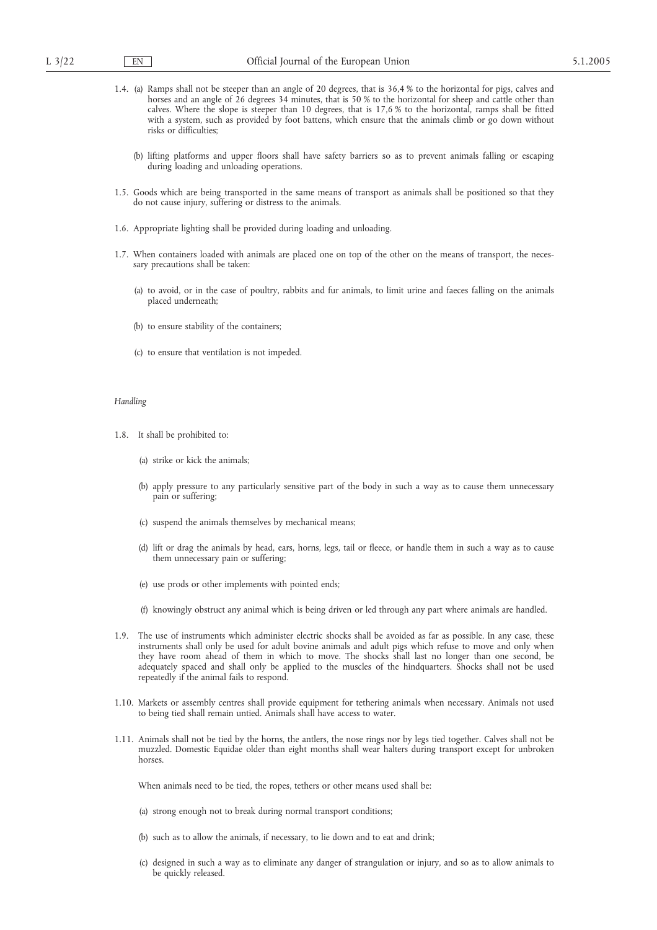- 1.4. (a) Ramps shall not be steeper than an angle of 20 degrees, that is 36,4 % to the horizontal for pigs, calves and horses and an angle of 26 degrees 34 minutes, that is 50 % to the horizontal for sheep and cattle other than calves. Where the slope is steeper than 10 degrees, that is 17,6 % to the horizontal, ramps shall be fitted with a system, such as provided by foot battens, which ensure that the animals climb or go down without risks or difficulties;
	- (b) lifting platforms and upper floors shall have safety barriers so as to prevent animals falling or escaping during loading and unloading operations.
- 1.5. Goods which are being transported in the same means of transport as animals shall be positioned so that they do not cause injury, suffering or distress to the animals.
- 1.6. Appropriate lighting shall be provided during loading and unloading.
- 1.7. When containers loaded with animals are placed one on top of the other on the means of transport, the necessary precautions shall be taken:
	- (a) to avoid, or in the case of poultry, rabbits and fur animals, to limit urine and faeces falling on the animals placed underneath;
	- (b) to ensure stability of the containers;
	- (c) to ensure that ventilation is not impeded.

#### *Handling*

- 1.8. It shall be prohibited to:
	- (a) strike or kick the animals;
	- (b) apply pressure to any particularly sensitive part of the body in such a way as to cause them unnecessary pain or suffering;
	- (c) suspend the animals themselves by mechanical means;
	- (d) lift or drag the animals by head, ears, horns, legs, tail or fleece, or handle them in such a way as to cause them unnecessary pain or suffering;
	- (e) use prods or other implements with pointed ends;
	- (f) knowingly obstruct any animal which is being driven or led through any part where animals are handled.
- 1.9. The use of instruments which administer electric shocks shall be avoided as far as possible. In any case, these instruments shall only be used for adult bovine animals and adult pigs which refuse to move and only when they have room ahead of them in which to move. The shocks shall last no longer than one second, be adequately spaced and shall only be applied to the muscles of the hindquarters. Shocks shall not be used repeatedly if the animal fails to respond.
- 1.10. Markets or assembly centres shall provide equipment for tethering animals when necessary. Animals not used to being tied shall remain untied. Animals shall have access to water.
- 1.11. Animals shall not be tied by the horns, the antlers, the nose rings nor by legs tied together. Calves shall not be muzzled. Domestic Equidae older than eight months shall wear halters during transport except for unbroken horses.

When animals need to be tied, the ropes, tethers or other means used shall be:

- (a) strong enough not to break during normal transport conditions;
- (b) such as to allow the animals, if necessary, to lie down and to eat and drink;
- (c) designed in such a way as to eliminate any danger of strangulation or injury, and so as to allow animals to be quickly released.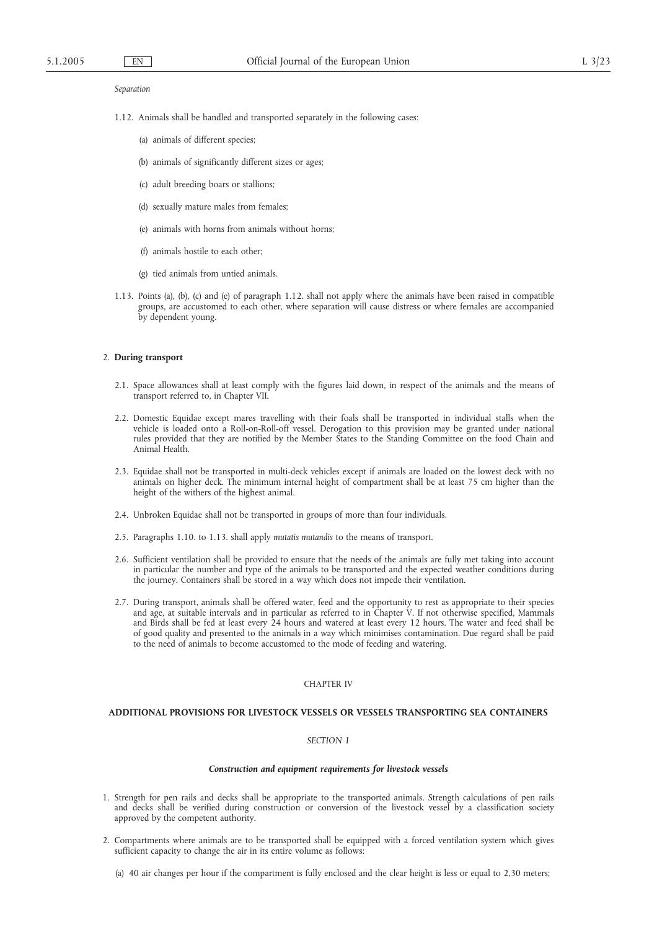### *Separation*

- 1.12. Animals shall be handled and transported separately in the following cases:
	- (a) animals of different species;
	- (b) animals of significantly different sizes or ages;
	- (c) adult breeding boars or stallions;
	- (d) sexually mature males from females;
	- (e) animals with horns from animals without horns;
	- (f) animals hostile to each other;
	- (g) tied animals from untied animals.
- 1.13. Points (a), (b), (c) and (e) of paragraph 1.12. shall not apply where the animals have been raised in compatible groups, are accustomed to each other, where separation will cause distress or where females are accompanied by dependent young.

## 2. **During transport**

- 2.1. Space allowances shall at least comply with the figures laid down, in respect of the animals and the means of transport referred to, in Chapter VII.
- 2.2. Domestic Equidae except mares travelling with their foals shall be transported in individual stalls when the vehicle is loaded onto a Roll-on-Roll-off vessel. Derogation to this provision may be granted under national rules provided that they are notified by the Member States to the Standing Committee on the food Chain and Animal Health.
- 2.3. Equidae shall not be transported in multi-deck vehicles except if animals are loaded on the lowest deck with no animals on higher deck. The minimum internal height of compartment shall be at least 75 cm higher than the height of the withers of the highest animal.
- 2.4. Unbroken Equidae shall not be transported in groups of more than four individuals.
- 2.5. Paragraphs 1.10. to 1.13. shall apply *mutatis mutandis* to the means of transport.
- 2.6. Sufficient ventilation shall be provided to ensure that the needs of the animals are fully met taking into account in particular the number and type of the animals to be transported and the expected weather conditions during the journey. Containers shall be stored in a way which does not impede their ventilation.
- 2.7. During transport, animals shall be offered water, feed and the opportunity to rest as appropriate to their species and age, at suitable intervals and in particular as referred to in Chapter V. If not otherwise specified, Mammals and Birds shall be fed at least every 24 hours and watered at least every 12 hours. The water and feed shall be of good quality and presented to the animals in a way which minimises contamination. Due regard shall be paid to the need of animals to become accustomed to the mode of feeding and watering.

#### CHAPTER IV

# **ADDITIONAL PROVISIONS FOR LIVESTOCK VESSELS OR VESSELS TRANSPORTING SEA CONTAINERS**

#### *SECTION 1*

## *Construction and equipment requirements for livestock vessels*

- 1. Strength for pen rails and decks shall be appropriate to the transported animals. Strength calculations of pen rails and decks shall be verified during construction or conversion of the livestock vessel by a classification society approved by the competent authority.
- 2. Compartments where animals are to be transported shall be equipped with a forced ventilation system which gives sufficient capacity to change the air in its entire volume as follows:
	- (a) 40 air changes per hour if the compartment is fully enclosed and the clear height is less or equal to 2,30 meters;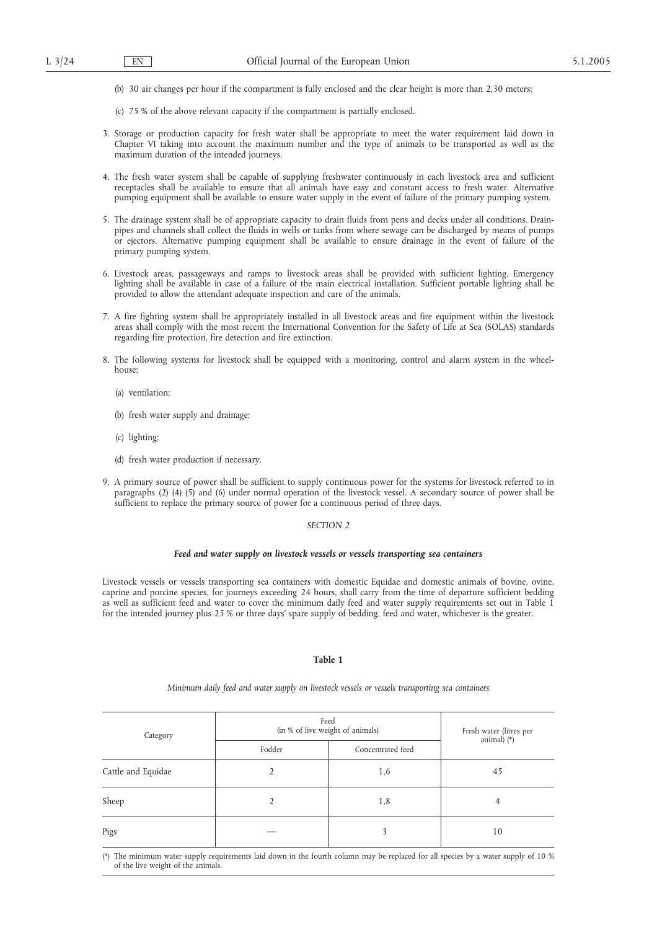- (b) 30 air changes per hour if the compartment is fully enclosed and the clear height is more than 2,30 meters;
- (c) 75 % of the above relevant capacity if the compartment is partially enclosed.
- 3. Storage or production capacity for fresh water shall be appropriate to meet the water requirement laid down in Chapter VI taking into account the maximum number and the type of animals to be transported as well as the maximum duration of the intended journeys.
- 4. The fresh water system shall be capable of supplying freshwater continuously in each livestock area and sufficient receptacles shall be available to ensure that all animals have easy and constant access to fresh water. Alternative pumping equipment shall be available to ensure water supply in the event of failure of the primary pumping system.
- 5. The drainage system shall be of appropriate capacity to drain fluids from pens and decks under all conditions. Drainpipes and channels shall collect the fluids in wells or tanks from where sewage can be discharged by means of pumps or ejectors. Alternative pumping equipment shall be available to ensure drainage in the event of failure of the primary pumping system.
- 6. Livestock areas, passageways and ramps to livestock areas shall be provided with sufficient lighting. Emergency lighting shall be available in case of a failure of the main electrical installation. Sufficient portable lighting shall be provided to allow the attendant adequate inspection and care of the animals.
- 7. A fire fighting system shall be appropriately installed in all livestock areas and fire equipment within the livestock areas shall comply with the most recent the International Convention for the Safety of Life at Sea (SOLAS) standards regarding fire protection, fire detection and fire extinction.
- 8. The following systems for livestock shall be equipped with a monitoring, control and alarm system in the wheelhouse:
	- (a) ventilation;
	- (b) fresh water supply and drainage;
	- (c) lighting;
	- (d) fresh water production if necessary.
- 9. A primary source of power shall be sufficient to supply continuous power for the systems for livestock referred to in paragraphs (2) (4) (5) and (6) under normal operation of the livestock vessel. A secondary source of power shall be sufficient to replace the primary source of power for a continuous period of three days.

#### *Feed and water supply on livestock vessels or vessels transporting sea containers*

Livestock vessels or vessels transporting sea containers with domestic Equidae and domestic animals of bovine, ovine, caprine and porcine species, for journeys exceeding 24 hours, shall carry from the time of departure sufficient bedding as well as sufficient feed and water to cover the minimum daily feed and water supply requirements set out in Table 1 for the intended journey plus 25 % or three days' spare supply of bedding, feed and water, whichever is the greater.

#### **Table 1**

| Category           | Feed<br>(in % of live weight of animals) |                   | Fresh water (litres per |
|--------------------|------------------------------------------|-------------------|-------------------------|
|                    | Fodder                                   | Concentrated feed | animal $(*)$            |
| Cattle and Equidae |                                          | 1,6               | 45                      |
| Sheep              |                                          | 1,8               | 4                       |
| Pigs               |                                          | 3                 | 10                      |

#### *Minimum daily feed and water supply on livestock vessels or vessels transporting sea containers*

(\*) The minimum water supply requirements laid down in the fourth column may be replaced for all species by a water supply of 10 % of the live weight of the animals.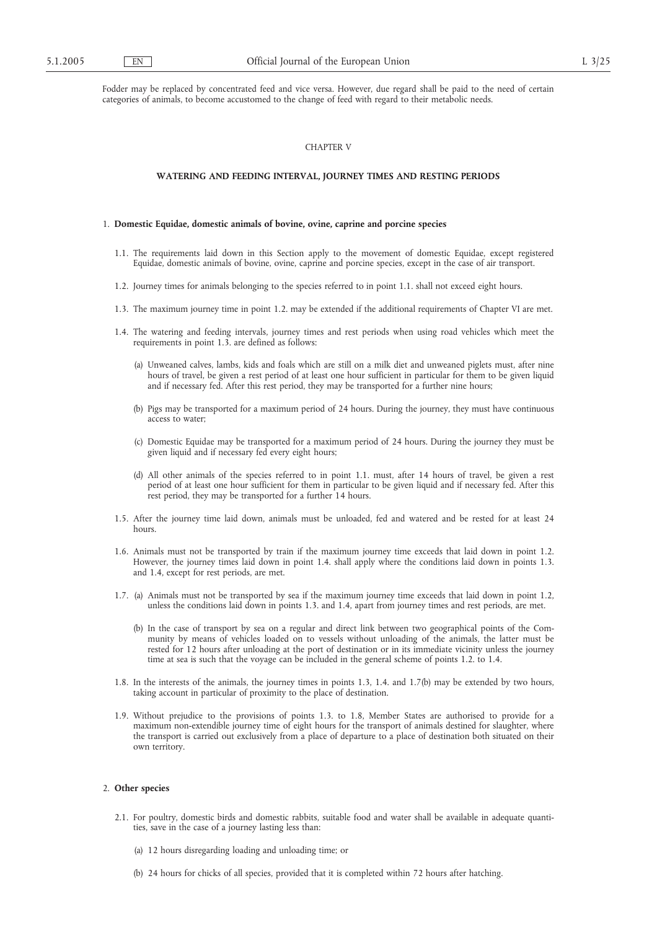Fodder may be replaced by concentrated feed and vice versa. However, due regard shall be paid to the need of certain categories of animals, to become accustomed to the change of feed with regard to their metabolic needs.

# CHAPTER V

### **WATERING AND FEEDING INTERVAL, JOURNEY TIMES AND RESTING PERIODS**

## 1. **Domestic Equidae, domestic animals of bovine, ovine, caprine and porcine species**

- 1.1. The requirements laid down in this Section apply to the movement of domestic Equidae, except registered Equidae, domestic animals of bovine, ovine, caprine and porcine species, except in the case of air transport.
- 1.2. Journey times for animals belonging to the species referred to in point 1.1. shall not exceed eight hours.
- 1.3. The maximum journey time in point 1.2. may be extended if the additional requirements of Chapter VI are met.
- 1.4. The watering and feeding intervals, journey times and rest periods when using road vehicles which meet the requirements in point 1.3. are defined as follows:
	- (a) Unweaned calves, lambs, kids and foals which are still on a milk diet and unweaned piglets must, after nine hours of travel, be given a rest period of at least one hour sufficient in particular for them to be given liquid and if necessary fed. After this rest period, they may be transported for a further nine hours;
	- (b) Pigs may be transported for a maximum period of 24 hours. During the journey, they must have continuous access to water;
	- (c) Domestic Equidae may be transported for a maximum period of 24 hours. During the journey they must be given liquid and if necessary fed every eight hours;
	- (d) All other animals of the species referred to in point 1.1. must, after 14 hours of travel, be given a rest period of at least one hour sufficient for them in particular to be given liquid and if necessary fed. After this rest period, they may be transported for a further 14 hours.
- 1.5. After the journey time laid down, animals must be unloaded, fed and watered and be rested for at least 24 hours.
- 1.6. Animals must not be transported by train if the maximum journey time exceeds that laid down in point 1.2. However, the journey times laid down in point 1.4. shall apply where the conditions laid down in points 1.3. and 1.4, except for rest periods, are met.
- 1.7. (a) Animals must not be transported by sea if the maximum journey time exceeds that laid down in point 1.2, unless the conditions laid down in points 1.3. and 1.4, apart from journey times and rest periods, are met.
	- (b) In the case of transport by sea on a regular and direct link between two geographical points of the Community by means of vehicles loaded on to vessels without unloading of the animals, the latter must be rested for 12 hours after unloading at the port of destination or in its immediate vicinity unless the journey time at sea is such that the voyage can be included in the general scheme of points 1.2. to 1.4.
- 1.8. In the interests of the animals, the journey times in points 1.3, 1.4. and 1.7(b) may be extended by two hours, taking account in particular of proximity to the place of destination.
- 1.9. Without prejudice to the provisions of points 1.3. to 1.8, Member States are authorised to provide for a maximum non-extendible journey time of eight hours for the transport of animals destined for slaughter, where the transport is carried out exclusively from a place of departure to a place of destination both situated on their own territory.

#### 2. **Other species**

- 2.1. For poultry, domestic birds and domestic rabbits, suitable food and water shall be available in adequate quantities, save in the case of a journey lasting less than:
	- (a) 12 hours disregarding loading and unloading time; or
	- (b) 24 hours for chicks of all species, provided that it is completed within 72 hours after hatching.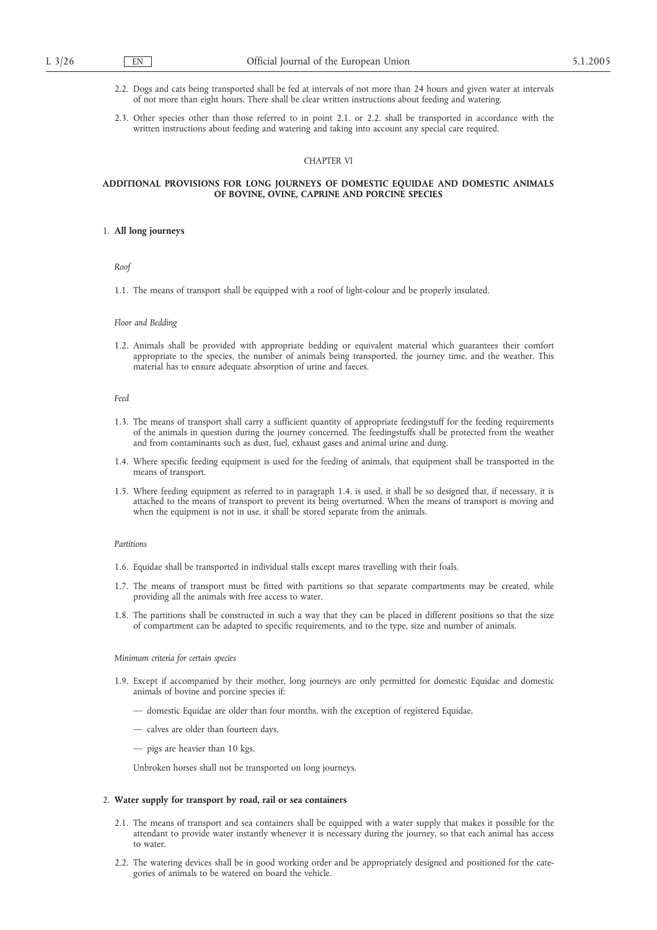- 2.2. Dogs and cats being transported shall be fed at intervals of not more than 24 hours and given water at intervals of not more than eight hours. There shall be clear written instructions about feeding and watering.
- 2.3. Other species other than those referred to in point 2.1. or 2.2. shall be transported in accordance with the written instructions about feeding and watering and taking into account any special care required.

#### CHAPTER VI

## **ADDITIONAL PROVISIONS FOR LONG JOURNEYS OF DOMESTIC EQUIDAE AND DOMESTIC ANIMALS OF BOVINE, OVINE, CAPRINE AND PORCINE SPECIES**

#### 1. **All long journeys**

*Roof*

1.1. The means of transport shall be equipped with a roof of light-colour and be properly insulated.

#### *Floor and Bedding*

1.2. Animals shall be provided with appropriate bedding or equivalent material which guarantees their comfort appropriate to the species, the number of animals being transported, the journey time, and the weather. This material has to ensure adequate absorption of urine and faeces.

#### *Feed*

- 1.3. The means of transport shall carry a sufficient quantity of appropriate feedingstuff for the feeding requirements of the animals in question during the journey concerned. The feedingstuffs shall be protected from the weather and from contaminants such as dust, fuel, exhaust gases and animal urine and dung.
- 1.4. Where specific feeding equipment is used for the feeding of animals, that equipment shall be transported in the means of transport.
- 1.5. Where feeding equipment as referred to in paragraph 1.4. is used, it shall be so designed that, if necessary, it is attached to the means of transport to prevent its being overturned. When the means of transport is moving and when the equipment is not in use, it shall be stored separate from the animals.

#### *Partitions*

- 1.6. Equidae shall be transported in individual stalls except mares travelling with their foals.
- 1.7. The means of transport must be fitted with partitions so that separate compartments may be created, while providing all the animals with free access to water.
- 1.8. The partitions shall be constructed in such a way that they can be placed in different positions so that the size of compartment can be adapted to specific requirements, and to the type, size and number of animals.

#### *Minimum criteria for certain species*

- 1.9. Except if accompanied by their mother, long journeys are only permitted for domestic Equidae and domestic animals of bovine and porcine species if:
	- domestic Equidae are older than four months, with the exception of registered Equidae,
	- calves are older than fourteen days,
	- pigs are heavier than 10 kgs.

Unbroken horses shall not be transported on long journeys.

#### 2. **Water supply for transport by road, rail or sea containers**

- 2.1. The means of transport and sea containers shall be equipped with a water supply that makes it possible for the attendant to provide water instantly whenever it is necessary during the journey, so that each animal has access to water.
- 2.2. The watering devices shall be in good working order and be appropriately designed and positioned for the categories of animals to be watered on board the vehicle.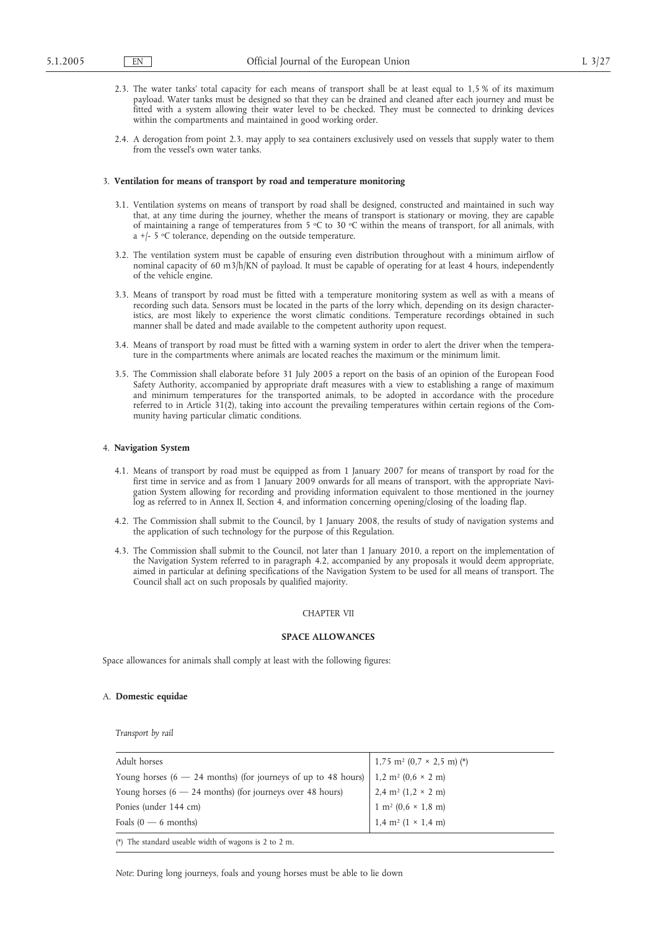- 2.3. The water tanks' total capacity for each means of transport shall be at least equal to 1,5 % of its maximum payload. Water tanks must be designed so that they can be drained and cleaned after each journey and must be fitted with a system allowing their water level to be checked. They must be connected to drinking devices within the compartments and maintained in good working order.
- 2.4. A derogation from point 2.3. may apply to sea containers exclusively used on vessels that supply water to them from the vessel's own water tanks.

#### 3. **Ventilation for means of transport by road and temperature monitoring**

- 3.1. Ventilation systems on means of transport by road shall be designed, constructed and maintained in such way that, at any time during the journey, whether the means of transport is stationary or moving, they are capable of maintaining a range of temperatures from  $5 \,^{\circ}\text{C}$  to 30  $^{\circ}\text{C}$  within the means of transport, for all animals, with a  $+/-$  5 °C tolerance, depending on the outside temperature.
- 3.2. The ventilation system must be capable of ensuring even distribution throughout with a minimum airflow of nominal capacity of 60 m3/h/KN of payload. It must be capable of operating for at least 4 hours, independently of the vehicle engine.
- 3.3. Means of transport by road must be fitted with a temperature monitoring system as well as with a means of recording such data. Sensors must be located in the parts of the lorry which, depending on its design characteristics, are most likely to experience the worst climatic conditions. Temperature recordings obtained in such manner shall be dated and made available to the competent authority upon request.
- 3.4. Means of transport by road must be fitted with a warning system in order to alert the driver when the temperature in the compartments where animals are located reaches the maximum or the minimum limit.
- 3.5. The Commission shall elaborate before 31 July 2005 a report on the basis of an opinion of the European Food Safety Authority, accompanied by appropriate draft measures with a view to establishing a range of maximum and minimum temperatures for the transported animals, to be adopted in accordance with the procedure referred to in Article 31(2), taking into account the prevailing temperatures within certain regions of the Community having particular climatic conditions.

# 4. **Navigation System**

- 4.1. Means of transport by road must be equipped as from 1 January 2007 for means of transport by road for the first time in service and as from 1 January 2009 onwards for all means of transport, with the appropriate Navigation System allowing for recording and providing information equivalent to those mentioned in the journey log as referred to in Annex II, Section 4, and information concerning opening/closing of the loading flap.
- 4.2. The Commission shall submit to the Council, by 1 January 2008, the results of study of navigation systems and the application of such technology for the purpose of this Regulation.
- 4.3. The Commission shall submit to the Council, not later than 1 January 2010, a report on the implementation of the Navigation System referred to in paragraph 4.2, accompanied by any proposals it would deem appropriate, aimed in particular at defining specifications of the Navigation System to be used for all means of transport. The Council shall act on such proposals by qualified majority.

### CHAPTER VII

# **SPACE ALLOWANCES**

Space allowances for animals shall comply at least with the following figures:

### A. **Domestic equidae**

*Transport by rail*

| Adult horses                                                    | $1,75 \text{ m}^2 (0,7 \times 2,5 \text{ m}) (*)$                            |  |  |
|-----------------------------------------------------------------|------------------------------------------------------------------------------|--|--|
| Young horses $(6 - 24$ months) (for journeys of up to 48 hours) | $1,2 \text{ m}^2 (0,6 \times 2 \text{ m})$                                   |  |  |
| Young horses $(6 - 24$ months) (for journeys over 48 hours)     | $2,4 \text{ m}^2 (1,2 \times 2 \text{ m})$                                   |  |  |
| Ponies (under 144 cm)                                           | $1 \text{ m}^2 (0.6 \times 1.8 \text{ m})$<br>1.4 m <sup>2</sup> (1 × 1.4 m) |  |  |
| Foals $(0 - 6$ months)                                          |                                                                              |  |  |
| (*) The standard useable width of wagons is 2 to 2 m.           |                                                                              |  |  |

*Note*: During long journeys, foals and young horses must be able to lie down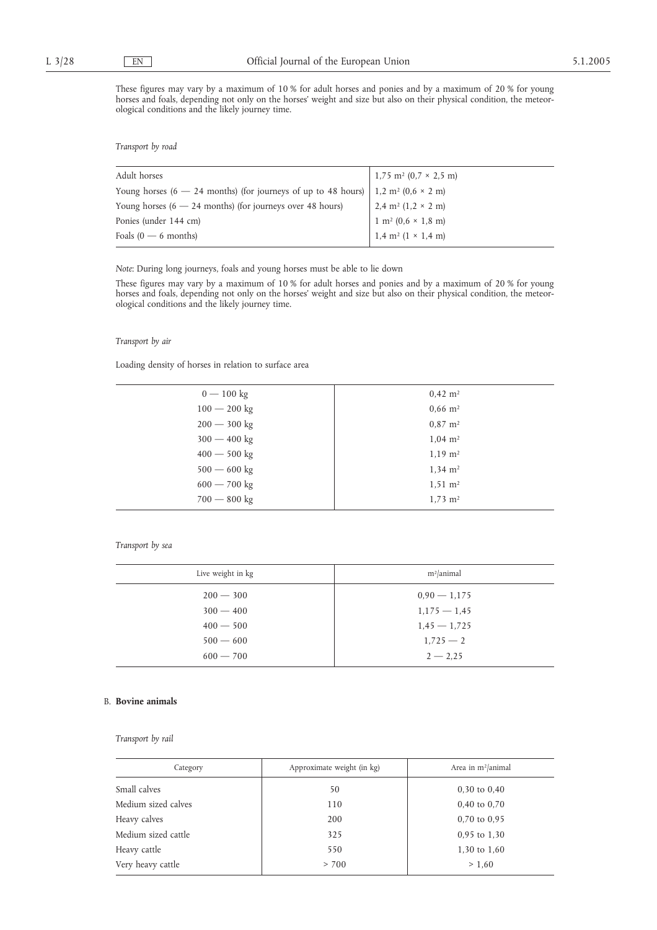These figures may vary by a maximum of 10 % for adult horses and ponies and by a maximum of 20 % for young horses and foals, depending not only on the horses' weight and size but also on their physical condition, the meteorological conditions and the likely journey time.

*Transport by road*

| Adult horses                                                                                          | $1,75 \text{ m}^2 (0,7 \times 2,5 \text{ m})$ |
|-------------------------------------------------------------------------------------------------------|-----------------------------------------------|
| Young horses (6 – 24 months) (for journeys of up to 48 hours)   1,2 m <sup>2</sup> (0,6 $\times$ 2 m) |                                               |
| Young horses $(6 - 24$ months) (for journeys over 48 hours)                                           | $2,4$ m <sup>2</sup> (1,2 $\times$ 2 m)       |
| Ponies (under 144 cm)                                                                                 | $1 \text{ m}^2 (0.6 \times 1.8 \text{ m})$    |
| Foals $(0 - 6$ months)                                                                                | $1,4 \text{ m}^2 (1 \times 1,4 \text{ m})$    |

*Note*: During long journeys, foals and young horses must be able to lie down

These figures may vary by a maximum of 10 % for adult horses and ponies and by a maximum of 20 % for young horses and foals, depending not only on the horses' weight and size but also on their physical condition, the meteorological conditions and the likely journey time.

# *Transport by air*

Loading density of horses in relation to surface area

| $0 - 100$ kg   | $0.42 \text{ m}^2$     |
|----------------|------------------------|
| $100 - 200$ kg | $0.66$ m <sup>2</sup>  |
| $200 - 300$ kg | $0.87 \; \mathrm{m}^2$ |
| $300 - 400$ kg | $1,04 \; \mathrm{m}^2$ |
| $400 - 500$ kg | $1,19 \; \mathrm{m}^2$ |
| $500 - 600$ kg | $1,34 \; \mathrm{m}^2$ |
| $600 - 700$ kg | $1,51 \; \mathrm{m}^2$ |
| $700 - 800$ kg | $1.73 \text{ m}^2$     |
|                |                        |

#### *Transport by sea*

| Live weight in kg | m <sup>2</sup> /animal |  |
|-------------------|------------------------|--|
| $200 - 300$       | $0,90 - 1,175$         |  |
| $300 - 400$       | $1,175 - 1,45$         |  |
| $400 - 500$       | $1,45 - 1,725$         |  |
| $500 - 600$       | $1,725 - 2$            |  |
| $600 - 700$       | $2 - 2.25$             |  |

# B. **Bovine animals**

*Transport by rail*

| Category            | Approximate weight (in kg) | Area in m <sup>2</sup> /animal |
|---------------------|----------------------------|--------------------------------|
| Small calves        | 50                         | $0,30$ to $0,40$               |
| Medium sized calves | 110                        | $0,40$ to $0,70$               |
| Heavy calves        | 200                        | $0,70$ to $0.95$               |
| Medium sized cattle | 325                        | 0,95 to 1,30                   |
| Heavy cattle        | 550                        | 1,30 to 1,60                   |
| Very heavy cattle   | > 700                      | > 1,60                         |
|                     |                            |                                |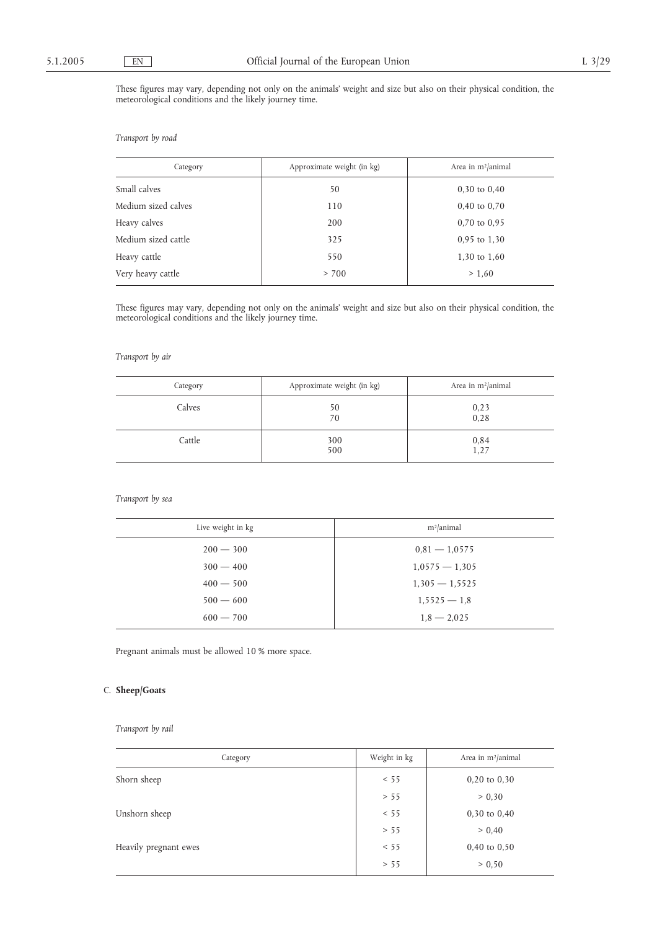These figures may vary, depending not only on the animals' weight and size but also on their physical condition, the meteorological conditions and the likely journey time.

# *Transport by road*

| Category            | Approximate weight (in kg) | Area in m <sup>2</sup> /animal |
|---------------------|----------------------------|--------------------------------|
| Small calves        | 50                         | $0,30$ to $0,40$               |
| Medium sized calves | 110                        | $0,40$ to $0,70$               |
| Heavy calves        | 200                        | $0,70$ to $0.95$               |
| Medium sized cattle | 325                        | $0.95$ to $1.30$               |
| Heavy cattle        | 550                        | 1,30 to 1,60                   |
| Very heavy cattle   | > 700                      | > 1,60                         |
|                     |                            |                                |

These figures may vary, depending not only on the animals' weight and size but also on their physical condition, the meteorological conditions and the likely journey time.

# *Transport by air*

| Category | Approximate weight (in kg) | Area in m <sup>2</sup> /animal |
|----------|----------------------------|--------------------------------|
| Calves   | 50<br>70                   | 0,23<br>0,28                   |
| Cattle   | 300<br>500                 | 0,84<br>1,27                   |

# *Transport by sea*

| Live weight in kg | $m^2$ /animal    |  |
|-------------------|------------------|--|
| $200 - 300$       | $0.81 - 1.0575$  |  |
| $300 - 400$       | $1,0575 - 1,305$ |  |
| $400 - 500$       | $1,305 - 1,5525$ |  |
| $500 - 600$       | $1,5525 - 1,8$   |  |
| $600 - 700$       | $1,8 - 2,025$    |  |
|                   |                  |  |

Pregnant animals must be allowed 10 % more space.

# C. **Sheep/Goats**

# *Transport by rail*

| Category              | Weight in kg | Area in m <sup>2</sup> /animal |
|-----------------------|--------------|--------------------------------|
| Shorn sheep           | < 55         | $0,20$ to $0,30$               |
|                       | > 55         | > 0.30                         |
| Unshorn sheep         | < 55         | $0,30$ to $0,40$               |
|                       | > 55         | > 0,40                         |
| Heavily pregnant ewes | < 55         | $0,40$ to $0,50$               |
|                       | > 55         | > 0.50                         |
|                       |              |                                |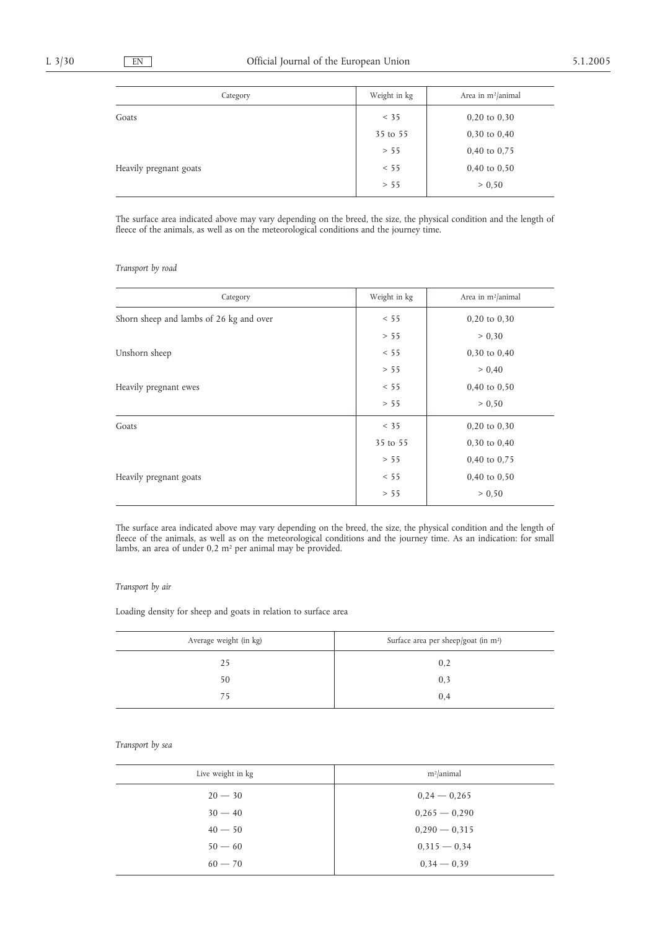| Category               | Weight in kg | Area in m <sup>2</sup> /animal |
|------------------------|--------------|--------------------------------|
| Goats                  | $<$ 35       | $0,20$ to $0,30$               |
|                        | 35 to 55     | $0,30$ to $0,40$               |
|                        | > 55         | $0,40$ to $0,75$               |
| Heavily pregnant goats | < 55         | $0,40$ to $0,50$               |
|                        | > 55         | > 0.50                         |
|                        |              |                                |

The surface area indicated above may vary depending on the breed, the size, the physical condition and the length of fleece of the animals, as well as on the meteorological conditions and the journey time.

# *Transport by road*

| Category                                | Weight in kg | Area in m <sup>2</sup> /animal |
|-----------------------------------------|--------------|--------------------------------|
| Shorn sheep and lambs of 26 kg and over | < 55         | $0,20$ to $0,30$               |
|                                         | > 55         | > 0.30                         |
| Unshorn sheep                           | < 55         | $0,30$ to $0,40$               |
|                                         | > 55         | > 0.40                         |
| Heavily pregnant ewes                   | < 55         | $0,40$ to $0,50$               |
|                                         | > 55         | > 0.50                         |
| Goats                                   | $<$ 35       | $0,20$ to $0,30$               |
|                                         | 35 to 55     | $0,30$ to $0,40$               |
|                                         | > 55         | $0,40$ to $0,75$               |
| Heavily pregnant goats                  | < 55         | $0,40$ to $0,50$               |
|                                         | > 55         | > 0.50                         |

The surface area indicated above may vary depending on the breed, the size, the physical condition and the length of fleece of the animals, as well as on the meteorological conditions and the journey time. As an indication: for small lambs, an area of under 0,2 m<sup>2</sup> per animal may be provided.

# *Transport by air*

Loading density for sheep and goats in relation to surface area

| Average weight (in kg) | Surface area per sheep/goat (in m <sup>2</sup> ) |
|------------------------|--------------------------------------------------|
| 25                     | 0,2                                              |
| 50                     | 0,3                                              |
|                        | 0,4                                              |

# *Transport by sea*

| Live weight in kg | m <sup>2</sup> /animal |
|-------------------|------------------------|
| $20 - 30$         | $0.24 - 0.265$         |
| $30 - 40$         | $0,265 - 0,290$        |
| $40 - 50$         | $0,290 - 0,315$        |
| $50 - 60$         | $0,315 - 0,34$         |
| $60 - 70$         | $0,34 - 0,39$          |
|                   |                        |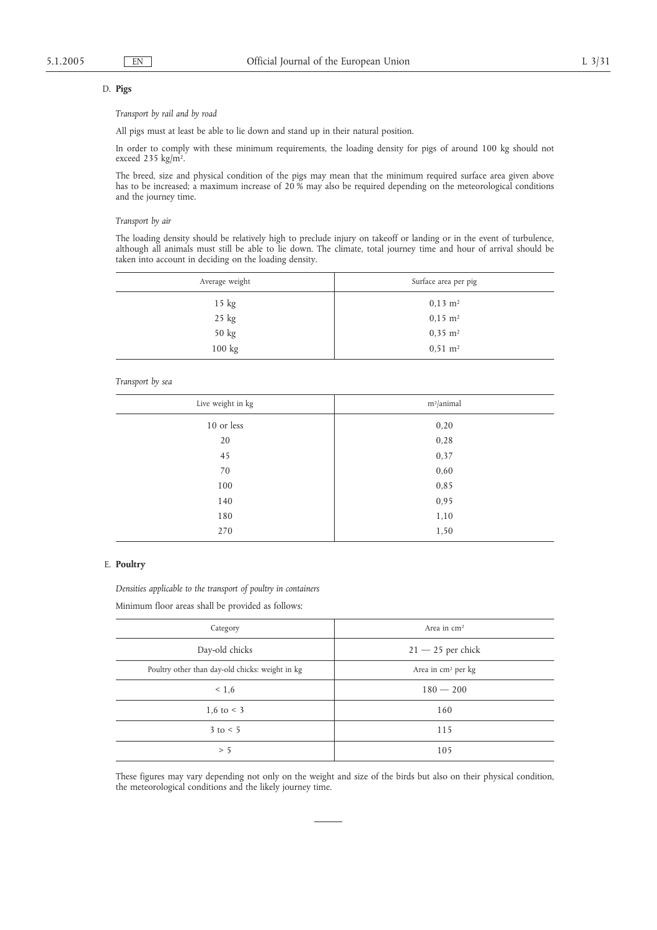#### D. **Pigs**

# *Transport by rail and by road*

All pigs must at least be able to lie down and stand up in their natural position.

In order to comply with these minimum requirements, the loading density for pigs of around 100 kg should not exceed 235 kg/ $m^2$ .

The breed, size and physical condition of the pigs may mean that the minimum required surface area given above has to be increased; a maximum increase of 20 % may also be required depending on the meteorological conditions and the journey time.

#### *Transport by air*

The loading density should be relatively high to preclude injury on takeoff or landing or in the event of turbulence, although all animals must still be able to lie down. The climate, total journey time and hour of arrival should be taken into account in deciding on the loading density.

| Average weight    | Surface area per pig   |
|-------------------|------------------------|
| 15 kg             | $0,13 \; \mathrm{m}^2$ |
| 25 kg             | $0,15 \; \mathrm{m}^2$ |
| $50\ \mathrm{kg}$ | $0,35 \; \mathrm{m}^2$ |
| 100 kg            | $0,51 \; \mathrm{m}^2$ |

# *Transport by sea*

| Live weight in kg | $m^2$ /animal |
|-------------------|---------------|
| 10 or less        | 0,20          |
| 20                | 0,28          |
| 45                | 0,37          |
| 70                | 0,60          |
| 100               | 0,85          |
| 140               | 0,95          |
| 180               | 1,10          |
| 270               | 1,50          |
|                   |               |

## E. **Poultry**

*Densities applicable to the transport of poultry in containers*

Minimum floor areas shall be provided as follows:

| Category                                        | Area in $cm2$                  |
|-------------------------------------------------|--------------------------------|
| Day-old chicks                                  | $21 - 25$ per chick            |
| Poultry other than day-old chicks: weight in kg | Area in cm <sup>2</sup> per kg |
| < 1.6                                           | $180 - 200$                    |
| 1,6 to < 3                                      | 160                            |
| $3$ to $\leq 5$                                 | 115                            |
| > 5                                             | 105                            |

These figures may vary depending not only on the weight and size of the birds but also on their physical condition, the meteorological conditions and the likely journey time.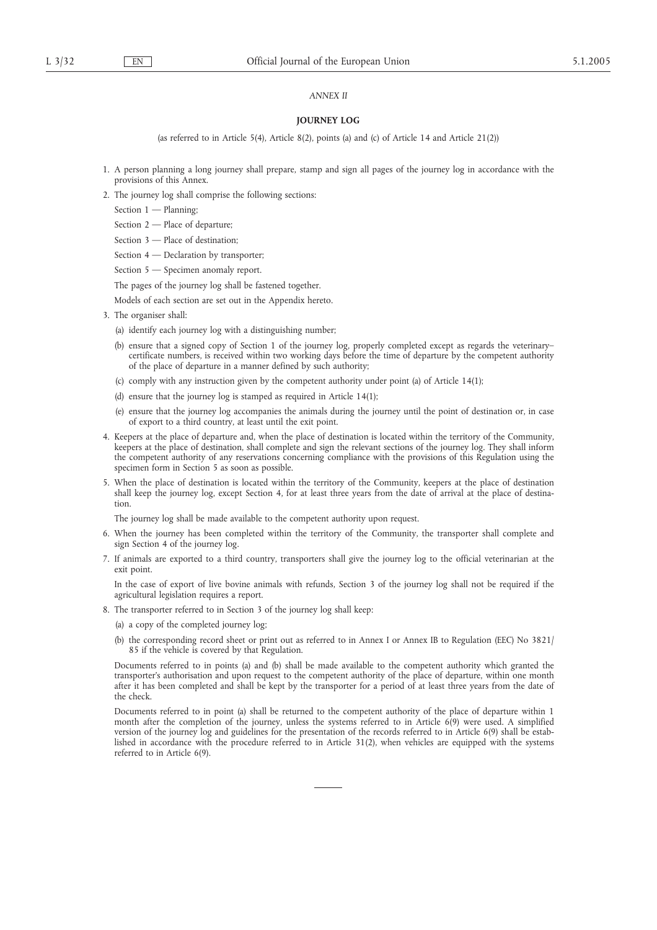#### *ANNEX II*

#### **JOURNEY LOG**

(as referred to in Article 5(4), Article 8(2), points (a) and (c) of Article 14 and Article 21(2))

- 1. A person planning a long journey shall prepare, stamp and sign all pages of the journey log in accordance with the provisions of this Annex.
- 2. The journey log shall comprise the following sections:

Section 1 - Planning;

Section 2 — Place of departure;

Section 3 — Place of destination;

Section 4 — Declaration by transporter;

Section 5 — Specimen anomaly report.

The pages of the journey log shall be fastened together.

Models of each section are set out in the Appendix hereto.

- 3. The organiser shall:
	- (a) identify each journey log with a distinguishing number;
	- (b) ensure that a signed copy of Section 1 of the journey log, properly completed except as regards the veterinary– certificate numbers, is received within two working days before the time of departure by the competent authority of the place of departure in a manner defined by such authority;
	- (c) comply with any instruction given by the competent authority under point (a) of Article 14(1);
	- (d) ensure that the journey log is stamped as required in Article 14(1);
	- (e) ensure that the journey log accompanies the animals during the journey until the point of destination or, in case of export to a third country, at least until the exit point.
- 4. Keepers at the place of departure and, when the place of destination is located within the territory of the Community, keepers at the place of destination, shall complete and sign the relevant sections of the journey log. They shall inform the competent authority of any reservations concerning compliance with the provisions of this Regulation using the specimen form in Section 5 as soon as possible.
- 5. When the place of destination is located within the territory of the Community, keepers at the place of destination shall keep the journey log, except Section 4, for at least three years from the date of arrival at the place of destination.

The journey log shall be made available to the competent authority upon request.

- 6. When the journey has been completed within the territory of the Community, the transporter shall complete and sign Section 4 of the journey log.
- 7. If animals are exported to a third country, transporters shall give the journey log to the official veterinarian at the exit point.

In the case of export of live bovine animals with refunds, Section 3 of the journey log shall not be required if the agricultural legislation requires a report.

- 8. The transporter referred to in Section 3 of the journey log shall keep:
	- (a) a copy of the completed journey log;
	- (b) the corresponding record sheet or print out as referred to in Annex I or Annex IB to Regulation (EEC) No 3821/ 85 if the vehicle is covered by that Regulation.

Documents referred to in points (a) and (b) shall be made available to the competent authority which granted the transporter's authorisation and upon request to the competent authority of the place of departure, within one month after it has been completed and shall be kept by the transporter for a period of at least three years from the date of the check.

Documents referred to in point (a) shall be returned to the competent authority of the place of departure within 1 month after the completion of the journey, unless the systems referred to in Article 6(9) were used. A simplified version of the journey log and guidelines for the presentation of the records referred to in Article 6(9) shall be established in accordance with the procedure referred to in Article 31(2), when vehicles are equipped with the systems referred to in Article 6(9).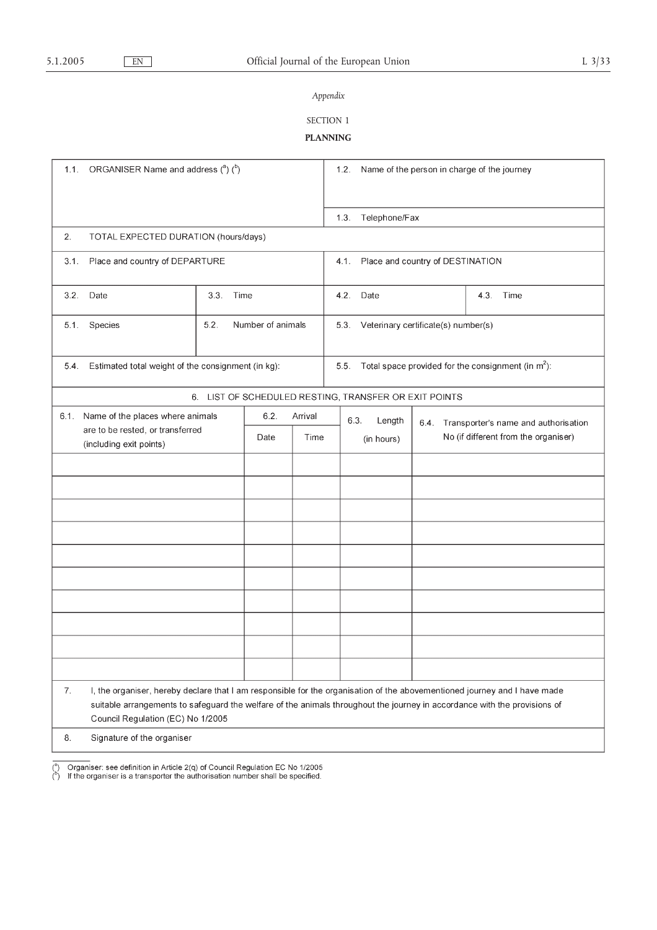# *Appendix*

# SECTION 1

# **PLANNING**

| 1.1. ORGANISER Name and address $(^{a})(^{b})$                                                                                                                                                                                                                                                    |              |                   |                 | 1.2. Name of the person in charge of the journey      |                                                                                   |
|---------------------------------------------------------------------------------------------------------------------------------------------------------------------------------------------------------------------------------------------------------------------------------------------------|--------------|-------------------|-----------------|-------------------------------------------------------|-----------------------------------------------------------------------------------|
|                                                                                                                                                                                                                                                                                                   |              |                   |                 | 1.3.<br>Telephone/Fax                                 |                                                                                   |
| 2.<br>TOTAL EXPECTED DURATION (hours/days)                                                                                                                                                                                                                                                        |              |                   |                 |                                                       |                                                                                   |
| 3.1. Place and country of DEPARTURE                                                                                                                                                                                                                                                               |              |                   |                 | 4.1. Place and country of DESTINATION                 |                                                                                   |
| 3.2.<br>Date                                                                                                                                                                                                                                                                                      | 3.3.<br>Time |                   |                 | 4.2. Date                                             | 4.3.<br>Time                                                                      |
| Species<br>5.1.                                                                                                                                                                                                                                                                                   | 5.2.         | Number of animals |                 | 5.3. Veterinary certificate(s) number(s)              |                                                                                   |
| Estimated total weight of the consignment (in kg):<br>5.4.                                                                                                                                                                                                                                        |              |                   |                 | 5.5.                                                  | Total space provided for the consignment (in $m^2$ ):                             |
|                                                                                                                                                                                                                                                                                                   |              |                   |                 | 6. LIST OF SCHEDULED RESTING, TRANSFER OR EXIT POINTS |                                                                                   |
| 6.1. Name of the places where animals<br>are to be rested, or transferred<br>(including exit points)                                                                                                                                                                                              |              | 6.2.<br>Date      | Arrival<br>Time | 6.3.<br>Length<br>(in hours)                          | 6.4. Transporter's name and authorisation<br>No (if different from the organiser) |
|                                                                                                                                                                                                                                                                                                   |              |                   |                 |                                                       |                                                                                   |
|                                                                                                                                                                                                                                                                                                   |              |                   |                 |                                                       |                                                                                   |
|                                                                                                                                                                                                                                                                                                   |              |                   |                 |                                                       |                                                                                   |
|                                                                                                                                                                                                                                                                                                   |              |                   |                 |                                                       |                                                                                   |
|                                                                                                                                                                                                                                                                                                   |              |                   |                 |                                                       |                                                                                   |
|                                                                                                                                                                                                                                                                                                   |              |                   |                 |                                                       |                                                                                   |
|                                                                                                                                                                                                                                                                                                   |              |                   |                 |                                                       |                                                                                   |
|                                                                                                                                                                                                                                                                                                   |              |                   |                 |                                                       |                                                                                   |
|                                                                                                                                                                                                                                                                                                   |              |                   |                 |                                                       |                                                                                   |
|                                                                                                                                                                                                                                                                                                   |              |                   |                 |                                                       |                                                                                   |
| I, the organiser, hereby declare that I am responsible for the organisation of the abovementioned journey and I have made<br>7.<br>suitable arrangements to safeguard the welfare of the animals throughout the journey in accordance with the provisions of<br>Council Regulation (EC) No 1/2005 |              |                   |                 |                                                       |                                                                                   |
| 8.<br>Signature of the organiser                                                                                                                                                                                                                                                                  |              |                   |                 |                                                       |                                                                                   |

 $\overline{\binom{a}{b}}$  Organiser: see definition in Article 2(q) of Council Regulation EC No 1/2005<br>
(b) If the organiser is a transporter the authorisation number shall be specified.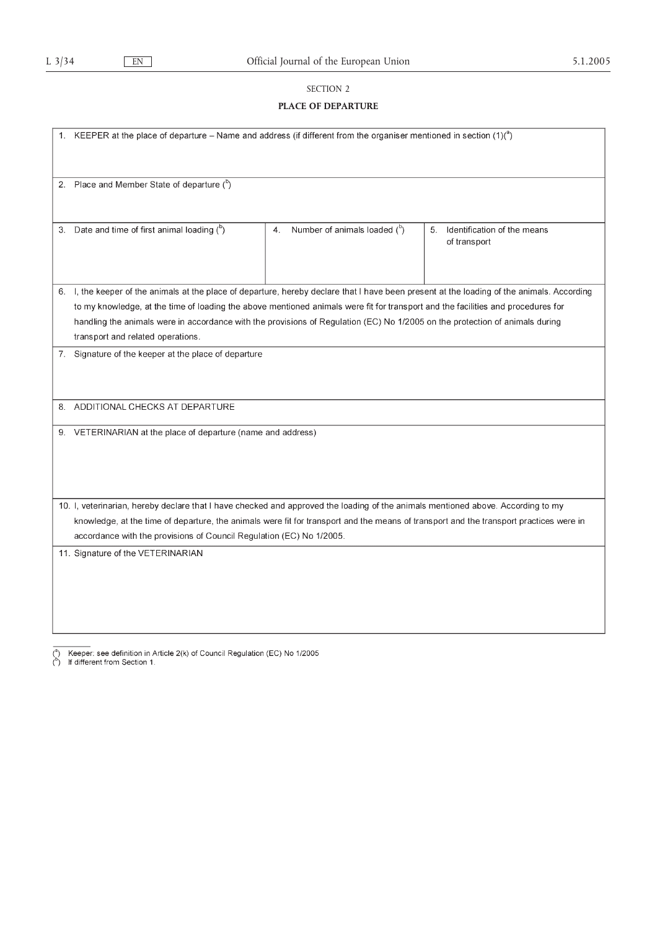# **PLACE OF DEPARTURE**

|                                                                                                                                  | 1. KEEPER at the place of departure – Name and address (if different from the organiser mentioned in section $(1)(a)$                       |                                    |                                                   |  |
|----------------------------------------------------------------------------------------------------------------------------------|---------------------------------------------------------------------------------------------------------------------------------------------|------------------------------------|---------------------------------------------------|--|
|                                                                                                                                  |                                                                                                                                             |                                    |                                                   |  |
|                                                                                                                                  | 2. Place and Member State of departure $(^{b})$                                                                                             |                                    |                                                   |  |
|                                                                                                                                  |                                                                                                                                             |                                    |                                                   |  |
| 3.                                                                                                                               | Date and time of first animal loading $(^{b})$                                                                                              | Number of animals loaded (b)<br>4. | Identification of the means<br>5.<br>of transport |  |
|                                                                                                                                  |                                                                                                                                             |                                    |                                                   |  |
|                                                                                                                                  | 6. I, the keeper of the animals at the place of departure, hereby declare that I have been present at the loading of the animals. According |                                    |                                                   |  |
| to my knowledge, at the time of loading the above mentioned animals were fit for transport and the facilities and procedures for |                                                                                                                                             |                                    |                                                   |  |
| handling the animals were in accordance with the provisions of Regulation (EC) No 1/2005 on the protection of animals during     |                                                                                                                                             |                                    |                                                   |  |
| transport and related operations.                                                                                                |                                                                                                                                             |                                    |                                                   |  |
|                                                                                                                                  | 7. Signature of the keeper at the place of departure                                                                                        |                                    |                                                   |  |
|                                                                                                                                  |                                                                                                                                             |                                    |                                                   |  |
|                                                                                                                                  |                                                                                                                                             |                                    |                                                   |  |
|                                                                                                                                  | 8. ADDITIONAL CHECKS AT DEPARTURE                                                                                                           |                                    |                                                   |  |
|                                                                                                                                  | 9. VETERINARIAN at the place of departure (name and address)                                                                                |                                    |                                                   |  |
|                                                                                                                                  |                                                                                                                                             |                                    |                                                   |  |
|                                                                                                                                  |                                                                                                                                             |                                    |                                                   |  |
|                                                                                                                                  |                                                                                                                                             |                                    |                                                   |  |
|                                                                                                                                  | 10. I, veterinarian, hereby declare that I have checked and approved the loading of the animals mentioned above. According to my            |                                    |                                                   |  |
|                                                                                                                                  | knowledge, at the time of departure, the animals were fit for transport and the means of transport and the transport practices were in      |                                    |                                                   |  |
|                                                                                                                                  | accordance with the provisions of Council Regulation (EC) No 1/2005.                                                                        |                                    |                                                   |  |
|                                                                                                                                  | 11. Signature of the VETERINARIAN                                                                                                           |                                    |                                                   |  |
|                                                                                                                                  |                                                                                                                                             |                                    |                                                   |  |
|                                                                                                                                  |                                                                                                                                             |                                    |                                                   |  |
|                                                                                                                                  |                                                                                                                                             |                                    |                                                   |  |
|                                                                                                                                  |                                                                                                                                             |                                    |                                                   |  |
|                                                                                                                                  |                                                                                                                                             |                                    |                                                   |  |

Keeper: see definition in Article 2(k) of Council Regulation (EC) No 1/2005<br>If different from Section 1.  $\overline{\binom{a}{b}}$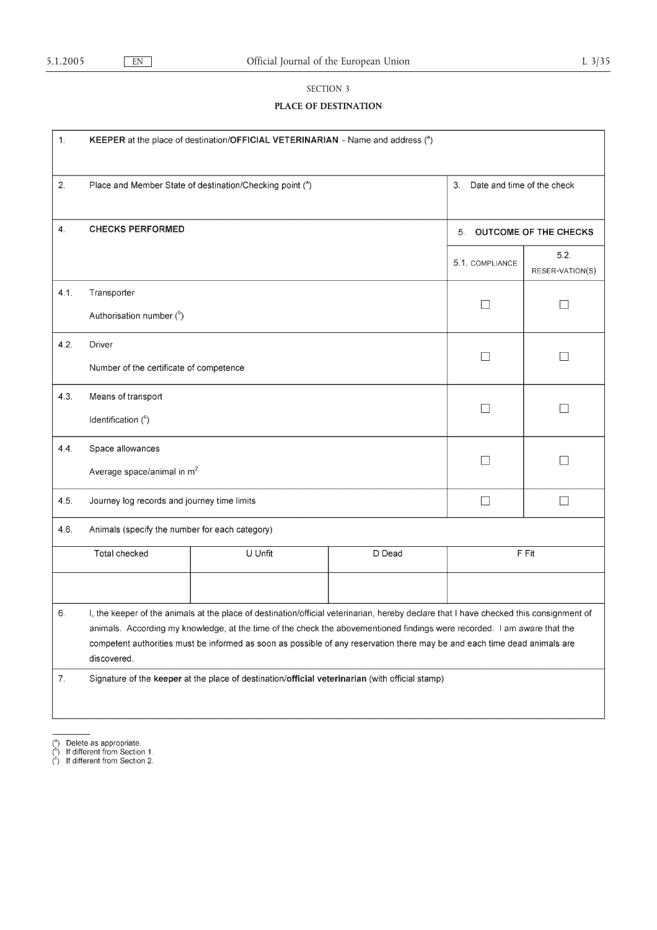# **PLACE OF DESTINATION**

| 1.   |                                                                                                                                                                                                                                                                                                                                                                                                 | KEEPER at the place of destination/OFFICIAL VETERINARIAN - Name and address $(^{a})$            |        |                                              |                              |
|------|-------------------------------------------------------------------------------------------------------------------------------------------------------------------------------------------------------------------------------------------------------------------------------------------------------------------------------------------------------------------------------------------------|-------------------------------------------------------------------------------------------------|--------|----------------------------------------------|------------------------------|
| 2.   |                                                                                                                                                                                                                                                                                                                                                                                                 | Place and Member State of destination/Checking point (a)                                        |        | Date and time of the check<br>3 <sub>1</sub> |                              |
| 4.   | <b>CHECKS PERFORMED</b>                                                                                                                                                                                                                                                                                                                                                                         |                                                                                                 |        | 5.                                           | <b>OUTCOME OF THE CHECKS</b> |
|      |                                                                                                                                                                                                                                                                                                                                                                                                 |                                                                                                 |        | 5.1. COMPLIANCE                              | 5.2.<br>RESER-VATION(S)      |
| 4.1. | Transporter                                                                                                                                                                                                                                                                                                                                                                                     |                                                                                                 |        |                                              |                              |
|      | Authorisation number (b)                                                                                                                                                                                                                                                                                                                                                                        |                                                                                                 |        |                                              |                              |
| 4.2. | Driver                                                                                                                                                                                                                                                                                                                                                                                          |                                                                                                 |        |                                              |                              |
|      | Number of the certificate of competence                                                                                                                                                                                                                                                                                                                                                         |                                                                                                 |        |                                              |                              |
| 4.3. | Means of transport                                                                                                                                                                                                                                                                                                                                                                              |                                                                                                 |        |                                              |                              |
|      | Identification (°)                                                                                                                                                                                                                                                                                                                                                                              |                                                                                                 |        |                                              |                              |
| 4.4. | Space allowances                                                                                                                                                                                                                                                                                                                                                                                |                                                                                                 |        |                                              |                              |
|      | Average space/animal in m <sup>2</sup>                                                                                                                                                                                                                                                                                                                                                          |                                                                                                 |        |                                              |                              |
| 4.5. | Journey log records and journey time limits                                                                                                                                                                                                                                                                                                                                                     |                                                                                                 |        | $\Box$                                       | $\Box$                       |
| 4.6. | Animals (specify the number for each category)                                                                                                                                                                                                                                                                                                                                                  |                                                                                                 |        |                                              |                              |
|      | Total checked                                                                                                                                                                                                                                                                                                                                                                                   | U Unfit                                                                                         | D Dead |                                              | F Fit                        |
|      |                                                                                                                                                                                                                                                                                                                                                                                                 |                                                                                                 |        |                                              |                              |
| 6.   | I, the keeper of the animals at the place of destination/official veterinarian, hereby declare that I have checked this consignment of<br>animals. According my knowledge, at the time of the check the abovementioned findings were recorded. I am aware that the<br>competent authorities must be informed as soon as possible of any reservation there may be and each time dead animals are |                                                                                                 |        |                                              |                              |
|      | discovered.                                                                                                                                                                                                                                                                                                                                                                                     |                                                                                                 |        |                                              |                              |
| 7.   |                                                                                                                                                                                                                                                                                                                                                                                                 | Signature of the keeper at the place of destination/official veterinarian (with official stamp) |        |                                              |                              |

( $^{\circ}$ ) Delete as appropriate.<br>( $^{\circ}$ ) If different from Section 1.<br>( $^{\circ}$ ) If different from Section 2.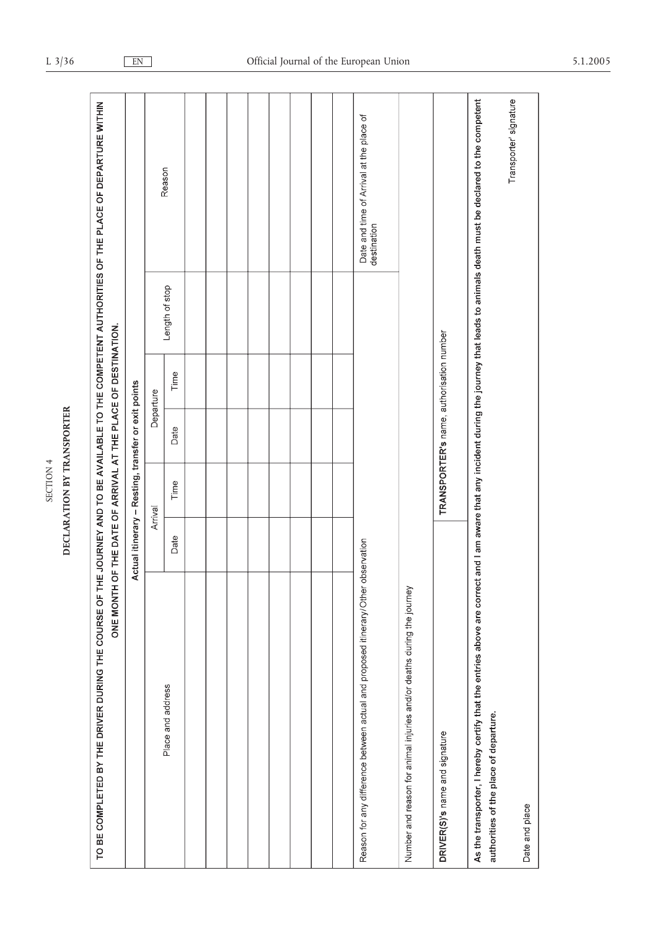| Ĺ      |  |
|--------|--|
|        |  |
| ן<br>ן |  |
| ׃<br>í |  |
|        |  |
| i<br>j |  |

| TO BE COMPLETED BY THE DRIVER DURING THE COURSE OF THE JOURNEY AND TO BE AVAILABLE TO THE COMPETENT AUTHORITIES OF THE PLACE OF DEPARTURE WITHIN<br>ONE MONTH OF THE DATE OF ARRIVAL AT THE PLACE OF DESTINATION.                   |         |      |                                                     |                                          |                |                                                         |
|-------------------------------------------------------------------------------------------------------------------------------------------------------------------------------------------------------------------------------------|---------|------|-----------------------------------------------------|------------------------------------------|----------------|---------------------------------------------------------|
|                                                                                                                                                                                                                                     |         |      | Actual itinerary - Resting, transfer or exit points |                                          |                |                                                         |
|                                                                                                                                                                                                                                     | Arrival |      | Departure                                           |                                          |                |                                                         |
| Place and address                                                                                                                                                                                                                   | Date    | Time | Date                                                | Time                                     | Length of stop | Reason                                                  |
|                                                                                                                                                                                                                                     |         |      |                                                     |                                          |                |                                                         |
|                                                                                                                                                                                                                                     |         |      |                                                     |                                          |                |                                                         |
|                                                                                                                                                                                                                                     |         |      |                                                     |                                          |                |                                                         |
|                                                                                                                                                                                                                                     |         |      |                                                     |                                          |                |                                                         |
|                                                                                                                                                                                                                                     |         |      |                                                     |                                          |                |                                                         |
|                                                                                                                                                                                                                                     |         |      |                                                     |                                          |                |                                                         |
|                                                                                                                                                                                                                                     |         |      |                                                     |                                          |                |                                                         |
|                                                                                                                                                                                                                                     |         |      |                                                     |                                          |                |                                                         |
| Reason for any difference between actual and proposed itinerary/Other observation                                                                                                                                                   |         |      |                                                     |                                          |                | Date and time of Arrival at the place of<br>destination |
| Number and reason for animal injuries and/or deaths during the journey                                                                                                                                                              |         |      |                                                     |                                          |                |                                                         |
| DRIVER(S)'s name and signature                                                                                                                                                                                                      |         |      |                                                     | TRANSPORTER's name, authorisation number |                |                                                         |
| As the transporter, I hereby certify that the entries above are correct and I am aware that any incident during the journey that leads to animals death must be declared to the competent<br>authorities of the place of departure. |         |      |                                                     |                                          |                |                                                         |
| Date and place                                                                                                                                                                                                                      |         |      |                                                     |                                          |                | Transporter' signature                                  |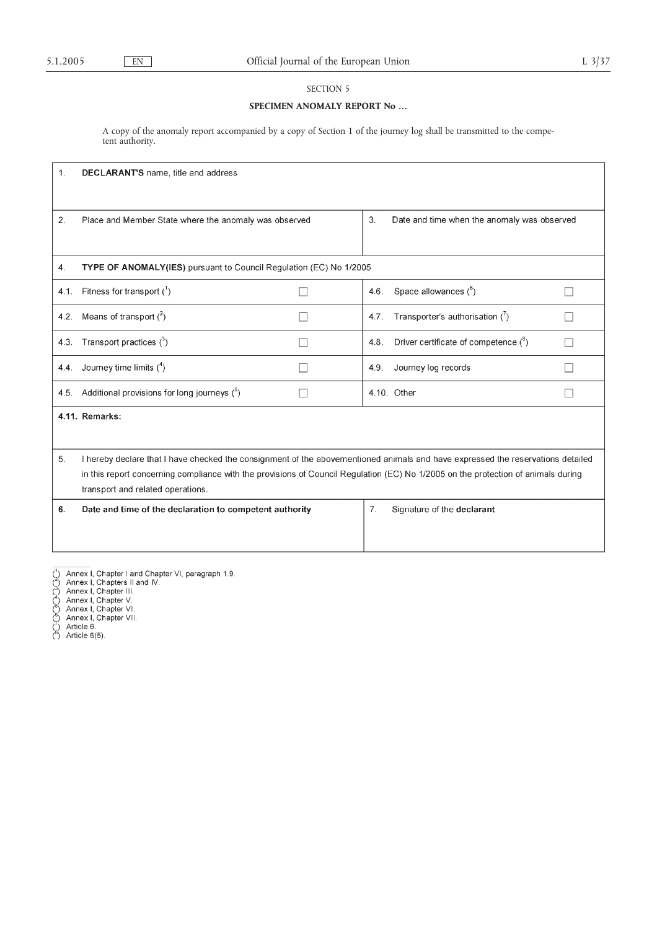# **SPECIMEN ANOMALY REPORT No …**

A copy of the anomaly report accompanied by a copy of Section 1 of the journey log shall be transmitted to the competent authority.

| $\mathbf{1}$ . | <b>DECLARANT'S</b> name, title and address                                                                                                                                                                                                                                                                |   |                |                                             |   |
|----------------|-----------------------------------------------------------------------------------------------------------------------------------------------------------------------------------------------------------------------------------------------------------------------------------------------------------|---|----------------|---------------------------------------------|---|
| 2.             | Place and Member State where the anomaly was observed                                                                                                                                                                                                                                                     |   | 3.             | Date and time when the anomaly was observed |   |
| 4.             | TYPE OF ANOMALY(IES) pursuant to Council Regulation (EC) No 1/2005                                                                                                                                                                                                                                        |   |                |                                             |   |
| 4.1.           | Fitness for transport $(^1)$                                                                                                                                                                                                                                                                              | П | 4.6.           | Space allowances $(^6)$                     | П |
| 4.2.           | Means of transport $(^2)$                                                                                                                                                                                                                                                                                 |   | 4.7.           | Transporter's authorisation (')             |   |
| 4.3.           | Transport practices $(^3)$                                                                                                                                                                                                                                                                                |   | 4.8.           | Driver certificate of competence $(^8)$     |   |
| 4.4.           | Journey time limits $(4)$                                                                                                                                                                                                                                                                                 |   | 4.9.           | Journey log records                         |   |
| 4.5.           | Additional provisions for long journeys ( <sup>5</sup> )                                                                                                                                                                                                                                                  |   |                | 4.10. Other                                 |   |
|                | 4.11. Remarks:                                                                                                                                                                                                                                                                                            |   |                |                                             |   |
| 5.             | I hereby declare that I have checked the consignment of the abovementioned animals and have expressed the reservations detailed<br>in this report concerning compliance with the provisions of Council Regulation (EC) No 1/2005 on the protection of animals during<br>transport and related operations. |   |                |                                             |   |
| 6.             | Date and time of the declaration to competent authority                                                                                                                                                                                                                                                   |   | 7 <sub>1</sub> | Signature of the declarant                  |   |

Annex I, Chapter I and Chapter VI, paragraph 1.9.<br>Annex I, Chapters II and IV.<br>Annex I, Chapter III.<br>Annex I, Chapter V.<br>Annex I, Chapter VI.<br>Annex I, Chapter VII.<br>Article 6.<br>Article 6.

99999999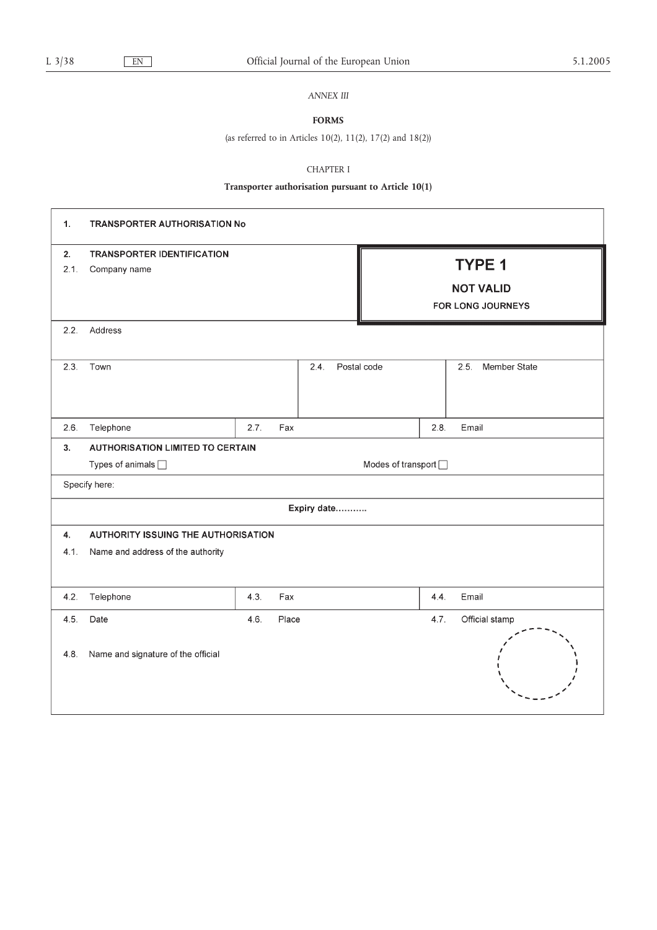# *ANNEX III*

# **FORMS**

(as referred to in Articles 10(2), 11(2), 17(2) and 18(2))

# CHAPTER I

# **Transporter authorisation pursuant to Article 10(1)**

| 1.          | <b>TRANSPORTER AUTHORISATION No</b>        |      |       |      |                      |      |                      |  |
|-------------|--------------------------------------------|------|-------|------|----------------------|------|----------------------|--|
| 2.          | <b>TRANSPORTER IDENTIFICATION</b>          |      |       |      |                      |      |                      |  |
| 2.1.        | Company name                               |      |       |      |                      |      | <b>TYPE 1</b>        |  |
|             |                                            |      |       |      |                      |      | <b>NOT VALID</b>     |  |
|             |                                            |      |       |      |                      |      | FOR LONG JOURNEYS    |  |
|             |                                            |      |       |      |                      |      |                      |  |
| 2.2.        | Address                                    |      |       |      |                      |      |                      |  |
|             |                                            |      |       |      |                      |      |                      |  |
| 2.3.        | Town                                       |      |       | 2.4. | Postal code          |      | 2.5.<br>Member State |  |
|             |                                            |      |       |      |                      |      |                      |  |
|             |                                            |      |       |      |                      |      |                      |  |
| 2.6.        |                                            | 2.7. | Fax   |      |                      | 2.8. | Email                |  |
|             | Telephone                                  |      |       |      |                      |      |                      |  |
| 3.          | <b>AUTHORISATION LIMITED TO CERTAIN</b>    |      |       |      |                      |      |                      |  |
|             | Types of animals $\Box$                    |      |       |      | Modes of transport [ |      |                      |  |
|             | Specify here:                              |      |       |      |                      |      |                      |  |
| Expiry date |                                            |      |       |      |                      |      |                      |  |
| 4.          | <b>AUTHORITY ISSUING THE AUTHORISATION</b> |      |       |      |                      |      |                      |  |
| 4.1.        | Name and address of the authority          |      |       |      |                      |      |                      |  |
|             |                                            |      |       |      |                      |      |                      |  |
| 4.2.        | Telephone                                  | 4.3. | Fax   |      |                      | 4.4. | Email                |  |
| 4.5.        | Date                                       | 4.6. | Place |      |                      | 4.7. | Official stamp       |  |
|             |                                            |      |       |      |                      |      |                      |  |
| 4.8.        | Name and signature of the official         |      |       |      |                      |      |                      |  |
|             |                                            |      |       |      |                      |      |                      |  |
|             |                                            |      |       |      |                      |      |                      |  |
|             |                                            |      |       |      |                      |      |                      |  |
|             |                                            |      |       |      |                      |      |                      |  |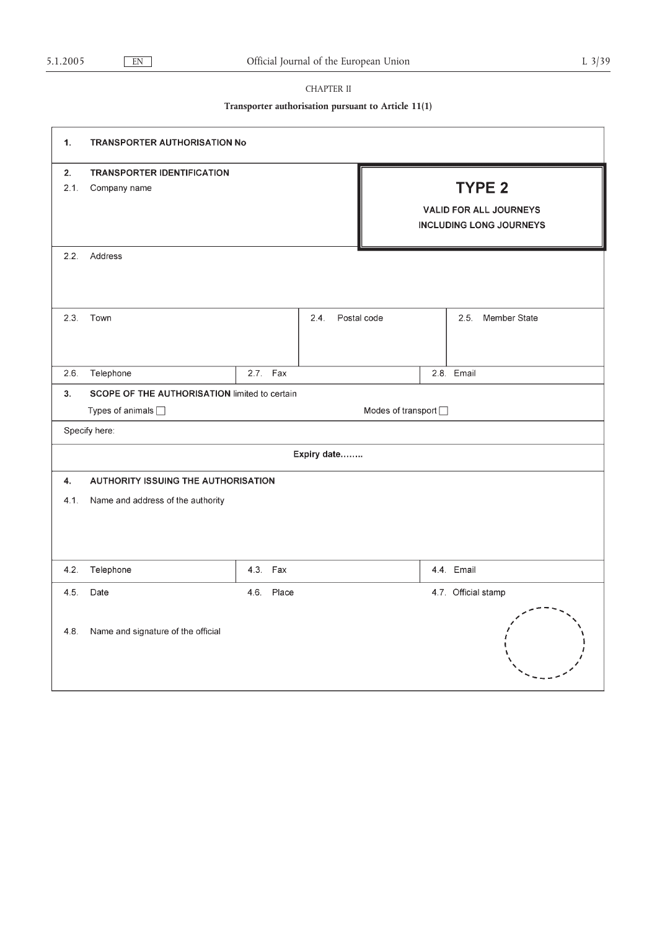# CHAPTER II

**Transporter authorisation pursuant to Article 11(1)**

| 1.             | <b>TRANSPORTER AUTHORISATION No</b>             |      |          |                     |  |  |                                                                                  |
|----------------|-------------------------------------------------|------|----------|---------------------|--|--|----------------------------------------------------------------------------------|
| 2.             | <b>TRANSPORTER IDENTIFICATION</b>               |      |          |                     |  |  |                                                                                  |
| 2.1.           | Company name                                    |      |          |                     |  |  | <b>TYPE 2</b><br><b>VALID FOR ALL JOURNEYS</b><br><b>INCLUDING LONG JOURNEYS</b> |
| 2.2.           | Address                                         |      |          |                     |  |  |                                                                                  |
| 2.3.           | Town                                            |      |          | 2.4.<br>Postal code |  |  | 2.5.<br><b>Member State</b>                                                      |
| 2.6.           | Telephone                                       | 2.7. | Fax      |                     |  |  | 2.8. Email                                                                       |
| 3 <sub>1</sub> | SCOPE OF THE AUTHORISATION limited to certain   |      |          |                     |  |  |                                                                                  |
|                | Modes of transport [<br>Types of animals $\Box$ |      |          |                     |  |  |                                                                                  |
| Specify here:  |                                                 |      |          |                     |  |  |                                                                                  |
|                |                                                 |      |          | Expiry date         |  |  |                                                                                  |
| 4.             | <b>AUTHORITY ISSUING THE AUTHORISATION</b>      |      |          |                     |  |  |                                                                                  |
| 4.1.           | Name and address of the authority               |      |          |                     |  |  |                                                                                  |
| 4.2.           | Telephone                                       |      | 4.3. Fax |                     |  |  | 4.4. Email                                                                       |
| 4.5.           | Date                                            | 4.6. | Place    |                     |  |  | 4.7. Official stamp                                                              |
| 4.8.           | Name and signature of the official              |      |          |                     |  |  |                                                                                  |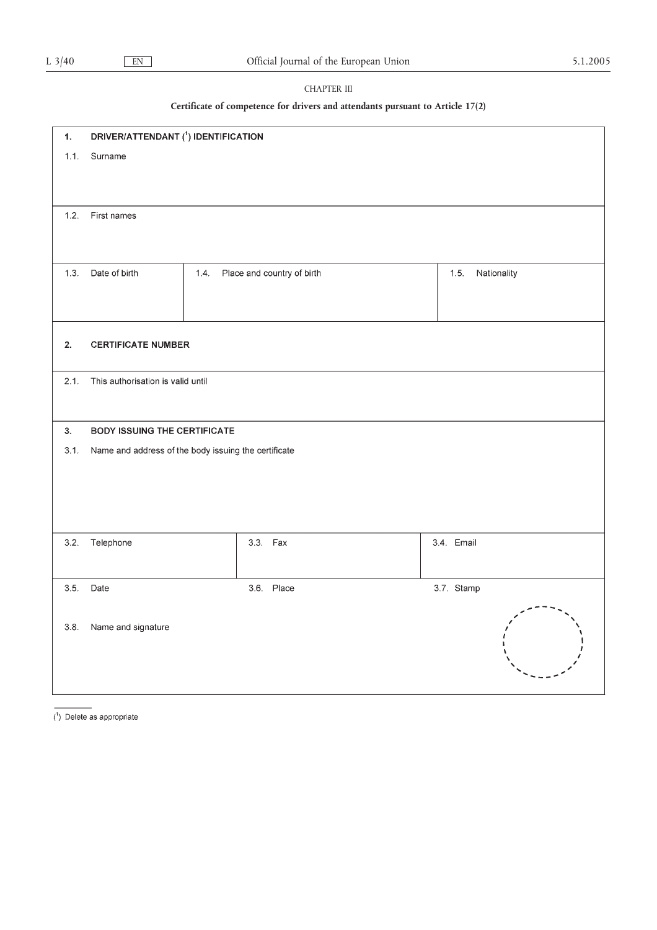# CHAPTER III

# **Certificate of competence for drivers and attendants pursuant to Article 17(2)**

| 1.   | DRIVER/ATTENDANT (1) IDENTIFICATION                  |                                    |  |                     |  |  |  |
|------|------------------------------------------------------|------------------------------------|--|---------------------|--|--|--|
| 1.1. | Surname                                              |                                    |  |                     |  |  |  |
|      |                                                      |                                    |  |                     |  |  |  |
|      |                                                      |                                    |  |                     |  |  |  |
| 1.2. | First names                                          |                                    |  |                     |  |  |  |
|      |                                                      |                                    |  |                     |  |  |  |
| 1.3. | Date of birth                                        | 1.4.<br>Place and country of birth |  | 1.5.<br>Nationality |  |  |  |
|      |                                                      |                                    |  |                     |  |  |  |
|      |                                                      |                                    |  |                     |  |  |  |
|      |                                                      |                                    |  |                     |  |  |  |
| 2.   | <b>CERTIFICATE NUMBER</b>                            |                                    |  |                     |  |  |  |
| 2.1. | This authorisation is valid until                    |                                    |  |                     |  |  |  |
|      |                                                      |                                    |  |                     |  |  |  |
| 3.   | <b>BODY ISSUING THE CERTIFICATE</b>                  |                                    |  |                     |  |  |  |
| 3.1. | Name and address of the body issuing the certificate |                                    |  |                     |  |  |  |
|      |                                                      |                                    |  |                     |  |  |  |
|      |                                                      |                                    |  |                     |  |  |  |
|      |                                                      |                                    |  |                     |  |  |  |
| 3.2. | Telephone                                            | 3.3. Fax                           |  | 3.4. Email          |  |  |  |
|      |                                                      |                                    |  |                     |  |  |  |
| 3.5. | Date                                                 | 3.6. Place                         |  | 3.7. Stamp          |  |  |  |
|      |                                                      |                                    |  |                     |  |  |  |
| 3.8. | Name and signature                                   |                                    |  |                     |  |  |  |
|      |                                                      |                                    |  |                     |  |  |  |
|      |                                                      |                                    |  |                     |  |  |  |
|      |                                                      |                                    |  |                     |  |  |  |

 $(^1)$  Delete as appropriate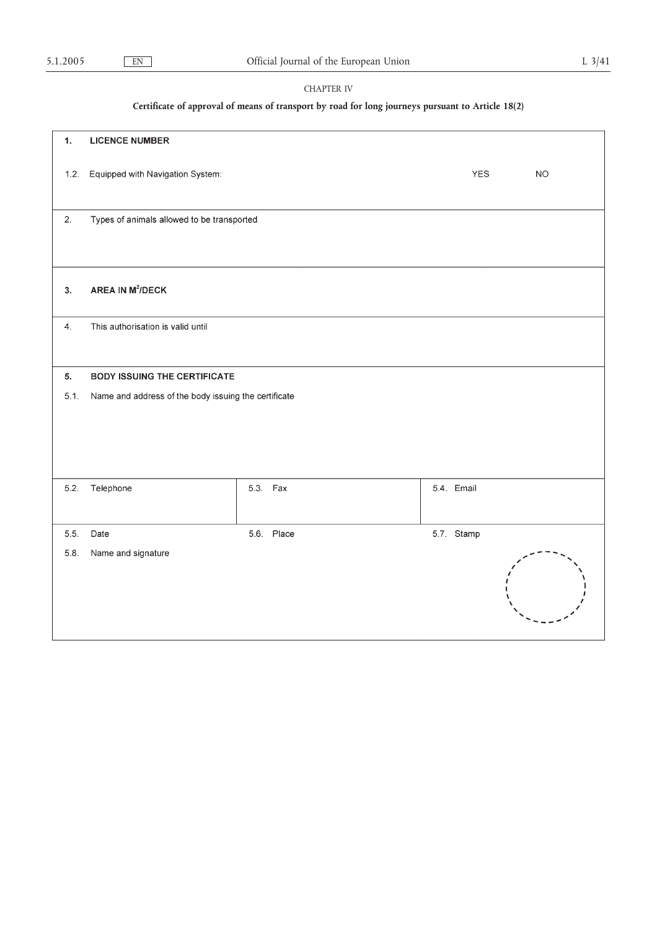# CHAPTER IV

# **Certificate of approval of means of transport by road for long journeys pursuant to Article 18(2)**

| 1.   | <b>LICENCE NUMBER</b>                                |  |            |  |            |           |
|------|------------------------------------------------------|--|------------|--|------------|-----------|
| 1.2. | Equipped with Navigation System:                     |  |            |  | <b>YES</b> | <b>NO</b> |
| 2.   | Types of animals allowed to be transported           |  |            |  |            |           |
| 3.   | <b>AREA IN M<sup>2</sup>/DECK</b>                    |  |            |  |            |           |
| 4.   | This authorisation is valid until                    |  |            |  |            |           |
| 5.   | <b>BODY ISSUING THE CERTIFICATE</b>                  |  |            |  |            |           |
| 5.1. | Name and address of the body issuing the certificate |  |            |  |            |           |
| 5.2. | Telephone                                            |  | 5.3. Fax   |  | 5.4. Email |           |
| 5.5. | Date                                                 |  | 5.6. Place |  | 5.7. Stamp |           |
| 5.8. | Name and signature                                   |  |            |  |            |           |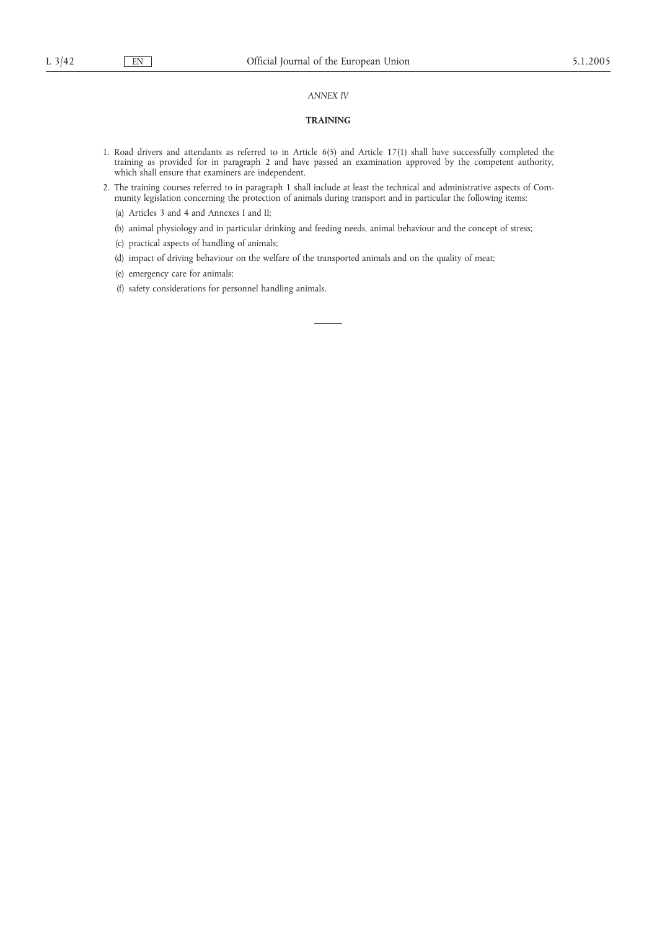### *ANNEX IV*

# **TRAINING**

- 1. Road drivers and attendants as referred to in Article 6(5) and Article 17(1) shall have successfully completed the training as provided for in paragraph 2 and have passed an examination approved by the competent authority, which shall ensure that examiners are independent.
- 2. The training courses referred to in paragraph 1 shall include at least the technical and administrative aspects of Community legislation concerning the protection of animals during transport and in particular the following items:
	- (a) Articles 3 and 4 and Annexes I and II;
	- (b) animal physiology and in particular drinking and feeding needs, animal behaviour and the concept of stress;
	- (c) practical aspects of handling of animals;
	- (d) impact of driving behaviour on the welfare of the transported animals and on the quality of meat;
	- (e) emergency care for animals;
	- (f) safety considerations for personnel handling animals.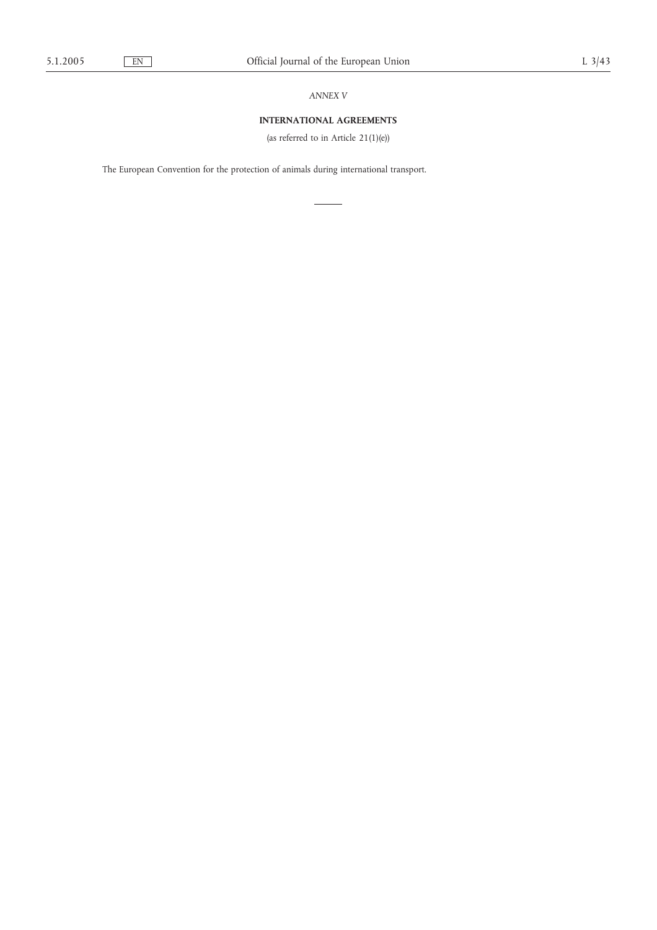*ANNEX V*

# **INTERNATIONAL AGREEMENTS**

(as referred to in Article 21(1)(e))

The European Convention for the protection of animals during international transport.